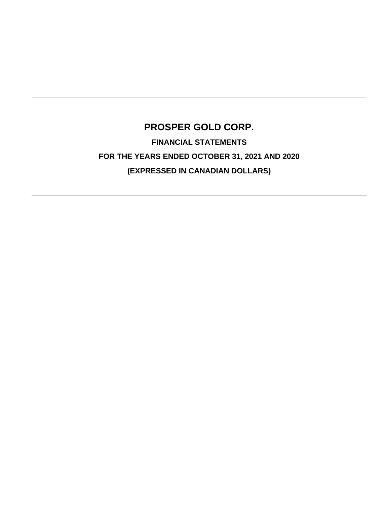# **PROSPER GOLD CORP. FINANCIAL STATEMENTS FOR THE YEARS ENDED OCTOBER 31, 2021 AND 2020 (EXPRESSED IN CANADIAN DOLLARS)**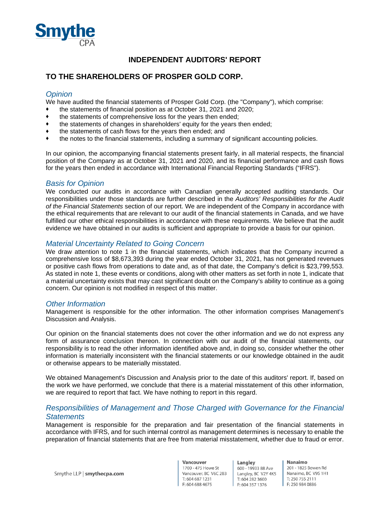

# **INDEPENDENT AUDITORS' REPORT**

# **TO THE SHAREHOLDERS OF PROSPER GOLD CORP.**

## *Opinion*

We have audited the financial statements of Prosper Gold Corp. (the "Company"), which comprise:

- the statements of financial position as at October 31, 2021 and 2020;
- the statements of comprehensive loss for the years then ended;
- ♦ the statements of changes in shareholders' equity for the years then ended;
- ♦ the statements of cash flows for the years then ended; and
- the notes to the financial statements, including a summary of significant accounting policies.

In our opinion, the accompanying financial statements present fairly, in all material respects, the financial position of the Company as at October 31, 2021 and 2020, and its financial performance and cash flows for the years then ended in accordance with International Financial Reporting Standards ("IFRS").

### *Basis for Opinion*

We conducted our audits in accordance with Canadian generally accepted auditing standards. Our responsibilities under those standards are further described in the *Auditors' Responsibilities for the Audit of the Financial Statements* section of our report. We are independent of the Company in accordance with the ethical requirements that are relevant to our audit of the financial statements in Canada, and we have fulfilled our other ethical responsibilities in accordance with these requirements. We believe that the audit evidence we have obtained in our audits is sufficient and appropriate to provide a basis for our opinion.

# *Material Uncertainty Related to Going Concern*

We draw attention to note 1 in the financial statements, which indicates that the Company incurred a comprehensive loss of \$8,673,393 during the year ended October 31, 2021, has not generated revenues or positive cash flows from operations to date and, as of that date, the Company's deficit is \$23,799,553. As stated in note 1, these events or conditions, along with other matters as set forth in note 1, indicate that a material uncertainty exists that may cast significant doubt on the Company's ability to continue as a going concern. Our opinion is not modified in respect of this matter.

### *Other Information*

Management is responsible for the other information. The other information comprises Management's Discussion and Analysis.

Our opinion on the financial statements does not cover the other information and we do not express any form of assurance conclusion thereon. In connection with our audit of the financial statements, our responsibility is to read the other information identified above and, in doing so, consider whether the other information is materially inconsistent with the financial statements or our knowledge obtained in the audit or otherwise appears to be materially misstated.

We obtained Management's Discussion and Analysis prior to the date of this auditors' report. If, based on the work we have performed, we conclude that there is a material misstatement of this other information, we are required to report that fact. We have nothing to report in this regard.

### *Responsibilities of Management and Those Charged with Governance for the Financial Statements*

Management is responsible for the preparation and fair presentation of the financial statements in accordance with IFRS, and for such internal control as management determines is necessary to enable the preparation of financial statements that are free from material misstatement, whether due to fraud or error.

Langley 600 - 19933 88 Ave Langley, BC V2Y 4K5 T: 604 282 3600 F: 604 357 1376

Nanaimo 201 - 1825 Bowen Rd Nanaimo, BC V9S 1H1 T: 250 755 2111 F: 250 984 0886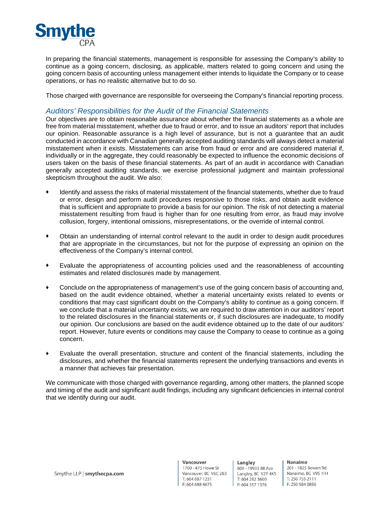

In preparing the financial statements, management is responsible for assessing the Company's ability to continue as a going concern, disclosing, as applicable, matters related to going concern and using the going concern basis of accounting unless management either intends to liquidate the Company or to cease operations, or has no realistic alternative but to do so.

Those charged with governance are responsible for overseeing the Company's financial reporting process.

### *Auditors' Responsibilities for the Audit of the Financial Statements*

Our objectives are to obtain reasonable assurance about whether the financial statements as a whole are free from material misstatement, whether due to fraud or error, and to issue an auditors' report that includes our opinion. Reasonable assurance is a high level of assurance, but is not a guarantee that an audit conducted in accordance with Canadian generally accepted auditing standards will always detect a material misstatement when it exists. Misstatements can arise from fraud or error and are considered material if, individually or in the aggregate, they could reasonably be expected to influence the economic decisions of users taken on the basis of these financial statements. As part of an audit in accordance with Canadian generally accepted auditing standards, we exercise professional judgment and maintain professional skepticism throughout the audit. We also:

- Identify and assess the risks of material misstatement of the financial statements, whether due to fraud or error, design and perform audit procedures responsive to those risks, and obtain audit evidence that is sufficient and appropriate to provide a basis for our opinion. The risk of not detecting a material misstatement resulting from fraud is higher than for one resulting from error, as fraud may involve collusion, forgery, intentional omissions, misrepresentations, or the override of internal control.
- ♦ Obtain an understanding of internal control relevant to the audit in order to design audit procedures that are appropriate in the circumstances, but not for the purpose of expressing an opinion on the effectiveness of the Company's internal control.
- ♦ Evaluate the appropriateness of accounting policies used and the reasonableness of accounting estimates and related disclosures made by management.
- Conclude on the appropriateness of management's use of the going concern basis of accounting and, based on the audit evidence obtained, whether a material uncertainty exists related to events or conditions that may cast significant doubt on the Company's ability to continue as a going concern. If we conclude that a material uncertainty exists, we are required to draw attention in our auditors' report to the related disclosures in the financial statements or, if such disclosures are inadequate, to modify our opinion. Our conclusions are based on the audit evidence obtained up to the date of our auditors' report. However, future events or conditions may cause the Company to cease to continue as a going concern.
- ♦ Evaluate the overall presentation, structure and content of the financial statements, including the disclosures, and whether the financial statements represent the underlying transactions and events in a manner that achieves fair presentation.

We communicate with those charged with governance regarding, among other matters, the planned scope and timing of the audit and significant audit findings, including any significant deficiencies in internal control that we identify during our audit.

Langley 600 - 19933 88 Ave Langley, BC V2Y 4K5 T: 604 282 3600 F: 604 357 1376

Nanaimo 201 - 1825 Bowen Rd Nanaimo, BC V9S 1H1 T: 250 755 2111 F: 250 984 0886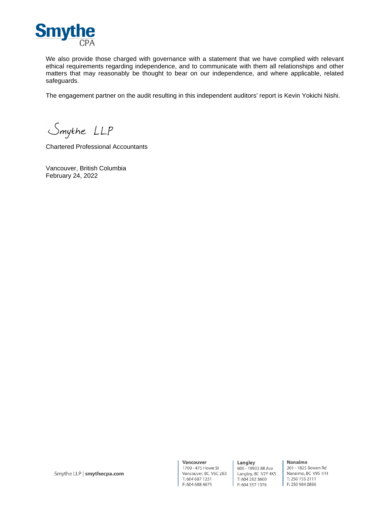

We also provide those charged with governance with a statement that we have complied with relevant ethical requirements regarding independence, and to communicate with them all relationships and other matters that may reasonably be thought to bear on our independence, and where applicable, related safeguards.

The engagement partner on the audit resulting in this independent auditors' report is Kevin Yokichi Nishi.

Smythe LLP

Chartered Professional Accountants

Vancouver, British Columbia February 24, 2022

Vancouver 1700 - 475 Howe St Vancouver, BC V6C 2B3 T: 604 687 1231 F: 604 688 4675

Langley 600 - 19933 88 Ave Langley, BC V2Y 4K5 T: 604 282 3600 F: 604 357 1376

Nanaimo 201 - 1825 Bowen Rd Nanaimo, BC V9S 1H1 T: 250 755 2111 F: 250 984 0886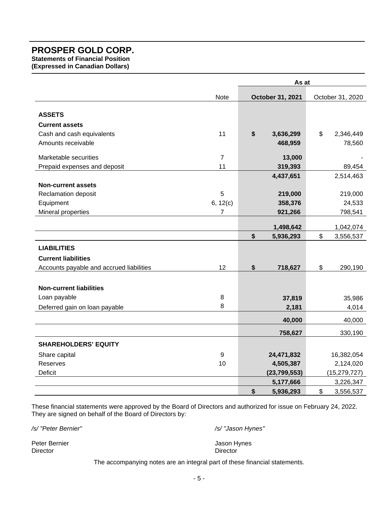**Statements of Financial Position** 

**(Expressed in Canadian Dollars)** 

|                                          |                | As at            |                  |                |
|------------------------------------------|----------------|------------------|------------------|----------------|
|                                          | Note           | October 31, 2021 | October 31, 2020 |                |
| <b>ASSETS</b>                            |                |                  |                  |                |
| <b>Current assets</b>                    |                |                  |                  |                |
| Cash and cash equivalents                | 11             | \$<br>3,636,299  | \$               | 2,346,449      |
| Amounts receivable                       |                | 468,959          |                  | 78,560         |
| Marketable securities                    | $\overline{7}$ | 13,000           |                  |                |
| Prepaid expenses and deposit             | 11             | 319,393          |                  | 89,454         |
|                                          |                | 4,437,651        |                  | 2,514,463      |
| <b>Non-current assets</b>                |                |                  |                  |                |
| Reclamation deposit                      | 5              | 219,000          |                  | 219,000        |
| Equipment                                | 6, 12(c)       | 358,376          |                  | 24,533         |
| Mineral properties                       | $\overline{7}$ | 921,266          |                  | 798,541        |
|                                          |                | 1,498,642        |                  | 1,042,074      |
|                                          |                | \$<br>5,936,293  | \$               | 3,556,537      |
| <b>LIABILITIES</b>                       |                |                  |                  |                |
| <b>Current liabilities</b>               |                |                  |                  |                |
| Accounts payable and accrued liabilities | 12             | \$<br>718,627    | \$               | 290,190        |
|                                          |                |                  |                  |                |
| <b>Non-current liabilities</b>           |                |                  |                  |                |
| Loan payable                             | 8              | 37,819           |                  | 35,986         |
| Deferred gain on loan payable            | 8              | 2,181            |                  | 4,014          |
|                                          |                | 40,000           |                  | 40,000         |
|                                          |                | 758,627          |                  | 330,190        |
| <b>SHAREHOLDERS' EQUITY</b>              |                |                  |                  |                |
| Share capital                            | 9              | 24,471,832       |                  | 16,382,054     |
| Reserves                                 | 10             | 4,505,387        |                  | 2,124,020      |
| Deficit                                  |                | (23, 799, 553)   |                  | (15, 279, 727) |
|                                          |                | 5,177,666        |                  | 3,226,347      |
|                                          |                | \$<br>5,936,293  | \$               | 3,556,537      |

These financial statements were approved by the Board of Directors and authorized for issue on February 24, 2022. They are signed on behalf of the Board of Directors by:

*/s/ "Peter Bernier" /s/ "Jason Hynes"* 

Peter Bernier Material Contract of the United States of the United States of the United States of the United States of the United States of the United States of the United States of the United States of the United States o

The accompanying notes are an integral part of these financial statements.

Director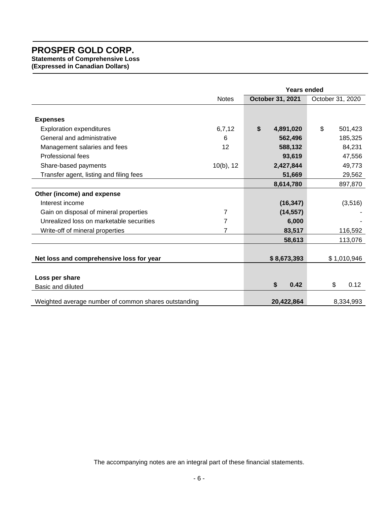**Statements of Comprehensive Loss (Expressed in Canadian Dollars)** 

|                                                      |                | <b>Years ended</b> |             |    |                  |  |
|------------------------------------------------------|----------------|--------------------|-------------|----|------------------|--|
|                                                      | <b>Notes</b>   | October 31, 2021   |             |    | October 31, 2020 |  |
|                                                      |                |                    |             |    |                  |  |
| <b>Expenses</b>                                      |                |                    |             |    |                  |  |
| <b>Exploration expenditures</b>                      | 6,7,12         | \$                 | 4,891,020   | \$ | 501,423          |  |
| General and administrative                           | 6              |                    | 562,496     |    | 185,325          |  |
| Management salaries and fees                         | 12             |                    | 588,132     |    | 84,231           |  |
| Professional fees                                    |                |                    | 93,619      |    | 47,556           |  |
| Share-based payments                                 | $10(b)$ , 12   |                    | 2,427,844   |    | 49,773           |  |
| Transfer agent, listing and filing fees              |                |                    | 51,669      |    | 29,562           |  |
|                                                      |                |                    | 8,614,780   |    | 897,870          |  |
| Other (income) and expense                           |                |                    |             |    |                  |  |
| Interest income                                      |                |                    | (16, 347)   |    | (3,516)          |  |
| Gain on disposal of mineral properties               | 7              |                    | (14, 557)   |    |                  |  |
| Unrealized loss on marketable securities             | $\overline{7}$ |                    | 6,000       |    |                  |  |
| Write-off of mineral properties                      | 7              |                    | 83,517      |    | 116,592          |  |
|                                                      |                |                    | 58,613      |    | 113,076          |  |
|                                                      |                |                    |             |    |                  |  |
| Net loss and comprehensive loss for year             |                |                    | \$8,673,393 |    | \$1,010,946      |  |
|                                                      |                |                    |             |    |                  |  |
| Loss per share                                       |                |                    |             |    |                  |  |
| Basic and diluted                                    |                | \$                 | 0.42        |    | \$<br>0.12       |  |
| Weighted average number of common shares outstanding |                |                    | 20,422,864  |    | 8,334,993        |  |

The accompanying notes are an integral part of these financial statements.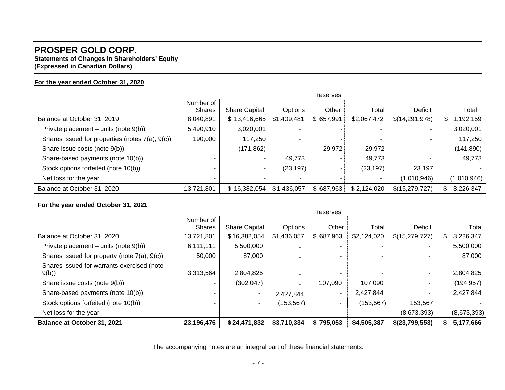# **PROSPER GOLD CORP. Statements of Changes in Shareholders' Equity**

**(Expressed in Canadian Dollars)** 

# **For the year ended October 31, 2020**

|                                                 | Number of<br>Shares | <b>Share Capital</b> | <b>Options</b> | Other     | Total       | Deficit        | Total           |
|-------------------------------------------------|---------------------|----------------------|----------------|-----------|-------------|----------------|-----------------|
| Balance at October 31, 2019                     | 8,040,891           | \$13,416,665         | \$1,409,481    | \$657,991 | \$2,067,472 | \$(14,291,978) | 1,192,159<br>S. |
| Private placement – units (note $9(b)$ )        | 5,490,910           | 3,020,001            |                |           |             |                | 3,020,001       |
| Shares issued for properties (notes 7(a), 9(c)) | 190,000             | 117,250              |                |           |             |                | 117,250         |
| Share issue costs (note 9(b))                   |                     | (171, 862)           | ۰.             | 29,972    | 29,972      | ۰.             | (141, 890)      |
| Share-based payments (note 10(b))               |                     |                      | 49,773         |           | 49,773      |                | 49,773          |
| Stock options forfeited (note 10(b))            |                     |                      | (23,197)       |           | (23, 197)   | 23,197         |                 |
| Net loss for the year                           |                     |                      |                |           | ٠           | (1,010,946)    | (1,010,946)     |
| Balance at October 31, 2020                     | 13,721,801          | \$16,382,054         | \$1,436,057    | \$687,963 | \$2,124,020 | \$(15,279,727) | 3,226,347       |

### **For the year ended October 31, 2021**

| Balance at October 31, 2021                        | 23,196,476                 | \$24,471,832         | \$3,710,334 | \$795,053 | \$4,505,387 | \$(23,799,553) | 5,177,666       |
|----------------------------------------------------|----------------------------|----------------------|-------------|-----------|-------------|----------------|-----------------|
| Net loss for the year                              |                            |                      |             |           |             | (8,673,393)    | (8,673,393)     |
| Stock options forfeited (note 10(b))               |                            | ۰.                   | (153, 567)  |           | (153, 567)  | 153,567        |                 |
| Share-based payments (note 10(b))                  |                            |                      | 2,427,844   | ۰         | 2,427,844   | ٠.             | 2,427,844       |
| Share issue costs (note 9(b))                      |                            | (302, 047)           |             | 107,090   | 107.090     | $\sim$         | (194, 957)      |
| Shares issued for warrants exercised (note<br>9(b) | 3,313,564                  | 2,804,825            |             |           |             | ٠.             | 2,804,825       |
| Shares issued for property (note 7(a), 9(c))       | 50,000                     | 87,000               |             |           |             |                | 87,000          |
| Private placement – units (note $9(b)$ )           | 6,111,111                  | 5,500,000            |             |           |             |                | 5,500,000       |
| Balance at October 31, 2020                        | 13,721,801                 | \$16,382,054         | \$1,436,057 | \$687,963 | \$2,124,020 | \$(15,279,727) | 3,226,347<br>S. |
|                                                    | Number of<br><b>Shares</b> | <b>Share Capital</b> | Options     | Other     | Total       | Deficit        | Total           |
|                                                    |                            |                      |             | Reserves  |             |                |                 |

The accompanying notes are an integral part of these financial statements.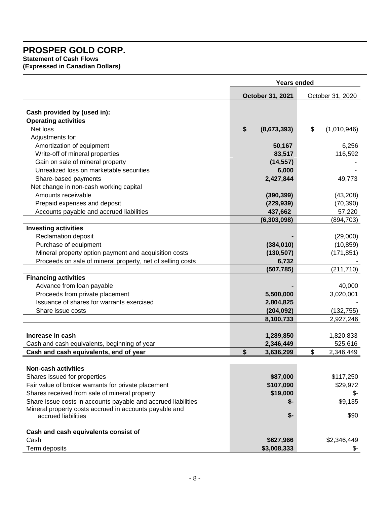**Statement of Cash Flows (Expressed in Canadian Dollars)** 

| October 31, 2021<br>October 31, 2020<br>Cash provided by (used in):<br><b>Operating activities</b><br>\$<br>\$<br>Net loss<br>(8,673,393)<br>(1,010,946)<br>Adjustments for:<br>Amortization of equipment<br>50,167<br>6,256<br>Write-off of mineral properties<br>83,517<br>116,592<br>Gain on sale of mineral property<br>(14, 557)<br>Unrealized loss on marketable securities<br>6,000<br>2,427,844<br>Share-based payments<br>49,773<br>Net change in non-cash working capital<br>Amounts receivable<br>(390, 399)<br>(43,208)<br>Prepaid expenses and deposit<br>(229, 939)<br>(70, 390)<br>Accounts payable and accrued liabilities<br>437,662<br>57,220<br>(6, 303, 098)<br>(894, 703)<br><b>Investing activities</b><br>Reclamation deposit<br>(29,000)<br>Purchase of equipment<br>(384, 010)<br>(10, 859)<br>Mineral property option payment and acquisition costs<br>(130, 507)<br>(171, 851)<br>Proceeds on sale of mineral property, net of selling costs<br>6,732<br>(507, 785)<br>(211, 710)<br><b>Financing activities</b><br>Advance from loan payable<br>40,000<br>Proceeds from private placement<br>5,500,000<br>3,020,001<br>Issuance of shares for warrants exercised<br>2,804,825<br>Share issue costs<br>(204, 092)<br>(132, 755)<br>8,100,733<br>2,927,246<br>Increase in cash<br>1,289,850<br>1,820,833<br>Cash and cash equivalents, beginning of year<br>2,346,449<br>525,616<br>\$<br>\$<br>Cash and cash equivalents, end of year<br>3,636,299<br>2,346,449<br><b>Non-cash activities</b><br>Shares issued for properties<br>\$87,000<br>\$117,250<br>\$107,090<br>Fair value of broker warrants for private placement<br>\$29,972<br>Shares received from sale of mineral property<br>\$19,000<br>\$-<br>Share issue costs in accounts payable and accrued liabilities<br>\$9,135<br>\$-<br>Mineral property costs accrued in accounts payable and<br>\$-<br>\$90<br>accrued liabilities<br>Cash and cash equivalents consist of<br>Cash<br>\$627,966<br>\$2,346,449<br>Term deposits<br>\$3,008,333 | <b>Years ended</b> |  |  |  |  |
|--------------------------------------------------------------------------------------------------------------------------------------------------------------------------------------------------------------------------------------------------------------------------------------------------------------------------------------------------------------------------------------------------------------------------------------------------------------------------------------------------------------------------------------------------------------------------------------------------------------------------------------------------------------------------------------------------------------------------------------------------------------------------------------------------------------------------------------------------------------------------------------------------------------------------------------------------------------------------------------------------------------------------------------------------------------------------------------------------------------------------------------------------------------------------------------------------------------------------------------------------------------------------------------------------------------------------------------------------------------------------------------------------------------------------------------------------------------------------------------------------------------------------------------------------------------------------------------------------------------------------------------------------------------------------------------------------------------------------------------------------------------------------------------------------------------------------------------------------------------------------------------------------------------------------------------------------------------------------------------------------------------------------------------|--------------------|--|--|--|--|
|                                                                                                                                                                                                                                                                                                                                                                                                                                                                                                                                                                                                                                                                                                                                                                                                                                                                                                                                                                                                                                                                                                                                                                                                                                                                                                                                                                                                                                                                                                                                                                                                                                                                                                                                                                                                                                                                                                                                                                                                                                      |                    |  |  |  |  |
|                                                                                                                                                                                                                                                                                                                                                                                                                                                                                                                                                                                                                                                                                                                                                                                                                                                                                                                                                                                                                                                                                                                                                                                                                                                                                                                                                                                                                                                                                                                                                                                                                                                                                                                                                                                                                                                                                                                                                                                                                                      |                    |  |  |  |  |
|                                                                                                                                                                                                                                                                                                                                                                                                                                                                                                                                                                                                                                                                                                                                                                                                                                                                                                                                                                                                                                                                                                                                                                                                                                                                                                                                                                                                                                                                                                                                                                                                                                                                                                                                                                                                                                                                                                                                                                                                                                      |                    |  |  |  |  |
|                                                                                                                                                                                                                                                                                                                                                                                                                                                                                                                                                                                                                                                                                                                                                                                                                                                                                                                                                                                                                                                                                                                                                                                                                                                                                                                                                                                                                                                                                                                                                                                                                                                                                                                                                                                                                                                                                                                                                                                                                                      |                    |  |  |  |  |
|                                                                                                                                                                                                                                                                                                                                                                                                                                                                                                                                                                                                                                                                                                                                                                                                                                                                                                                                                                                                                                                                                                                                                                                                                                                                                                                                                                                                                                                                                                                                                                                                                                                                                                                                                                                                                                                                                                                                                                                                                                      |                    |  |  |  |  |
|                                                                                                                                                                                                                                                                                                                                                                                                                                                                                                                                                                                                                                                                                                                                                                                                                                                                                                                                                                                                                                                                                                                                                                                                                                                                                                                                                                                                                                                                                                                                                                                                                                                                                                                                                                                                                                                                                                                                                                                                                                      |                    |  |  |  |  |
|                                                                                                                                                                                                                                                                                                                                                                                                                                                                                                                                                                                                                                                                                                                                                                                                                                                                                                                                                                                                                                                                                                                                                                                                                                                                                                                                                                                                                                                                                                                                                                                                                                                                                                                                                                                                                                                                                                                                                                                                                                      |                    |  |  |  |  |
|                                                                                                                                                                                                                                                                                                                                                                                                                                                                                                                                                                                                                                                                                                                                                                                                                                                                                                                                                                                                                                                                                                                                                                                                                                                                                                                                                                                                                                                                                                                                                                                                                                                                                                                                                                                                                                                                                                                                                                                                                                      |                    |  |  |  |  |
|                                                                                                                                                                                                                                                                                                                                                                                                                                                                                                                                                                                                                                                                                                                                                                                                                                                                                                                                                                                                                                                                                                                                                                                                                                                                                                                                                                                                                                                                                                                                                                                                                                                                                                                                                                                                                                                                                                                                                                                                                                      |                    |  |  |  |  |
|                                                                                                                                                                                                                                                                                                                                                                                                                                                                                                                                                                                                                                                                                                                                                                                                                                                                                                                                                                                                                                                                                                                                                                                                                                                                                                                                                                                                                                                                                                                                                                                                                                                                                                                                                                                                                                                                                                                                                                                                                                      |                    |  |  |  |  |
|                                                                                                                                                                                                                                                                                                                                                                                                                                                                                                                                                                                                                                                                                                                                                                                                                                                                                                                                                                                                                                                                                                                                                                                                                                                                                                                                                                                                                                                                                                                                                                                                                                                                                                                                                                                                                                                                                                                                                                                                                                      |                    |  |  |  |  |
|                                                                                                                                                                                                                                                                                                                                                                                                                                                                                                                                                                                                                                                                                                                                                                                                                                                                                                                                                                                                                                                                                                                                                                                                                                                                                                                                                                                                                                                                                                                                                                                                                                                                                                                                                                                                                                                                                                                                                                                                                                      |                    |  |  |  |  |
|                                                                                                                                                                                                                                                                                                                                                                                                                                                                                                                                                                                                                                                                                                                                                                                                                                                                                                                                                                                                                                                                                                                                                                                                                                                                                                                                                                                                                                                                                                                                                                                                                                                                                                                                                                                                                                                                                                                                                                                                                                      |                    |  |  |  |  |
|                                                                                                                                                                                                                                                                                                                                                                                                                                                                                                                                                                                                                                                                                                                                                                                                                                                                                                                                                                                                                                                                                                                                                                                                                                                                                                                                                                                                                                                                                                                                                                                                                                                                                                                                                                                                                                                                                                                                                                                                                                      |                    |  |  |  |  |
|                                                                                                                                                                                                                                                                                                                                                                                                                                                                                                                                                                                                                                                                                                                                                                                                                                                                                                                                                                                                                                                                                                                                                                                                                                                                                                                                                                                                                                                                                                                                                                                                                                                                                                                                                                                                                                                                                                                                                                                                                                      |                    |  |  |  |  |
|                                                                                                                                                                                                                                                                                                                                                                                                                                                                                                                                                                                                                                                                                                                                                                                                                                                                                                                                                                                                                                                                                                                                                                                                                                                                                                                                                                                                                                                                                                                                                                                                                                                                                                                                                                                                                                                                                                                                                                                                                                      |                    |  |  |  |  |
|                                                                                                                                                                                                                                                                                                                                                                                                                                                                                                                                                                                                                                                                                                                                                                                                                                                                                                                                                                                                                                                                                                                                                                                                                                                                                                                                                                                                                                                                                                                                                                                                                                                                                                                                                                                                                                                                                                                                                                                                                                      |                    |  |  |  |  |
|                                                                                                                                                                                                                                                                                                                                                                                                                                                                                                                                                                                                                                                                                                                                                                                                                                                                                                                                                                                                                                                                                                                                                                                                                                                                                                                                                                                                                                                                                                                                                                                                                                                                                                                                                                                                                                                                                                                                                                                                                                      |                    |  |  |  |  |
|                                                                                                                                                                                                                                                                                                                                                                                                                                                                                                                                                                                                                                                                                                                                                                                                                                                                                                                                                                                                                                                                                                                                                                                                                                                                                                                                                                                                                                                                                                                                                                                                                                                                                                                                                                                                                                                                                                                                                                                                                                      |                    |  |  |  |  |
|                                                                                                                                                                                                                                                                                                                                                                                                                                                                                                                                                                                                                                                                                                                                                                                                                                                                                                                                                                                                                                                                                                                                                                                                                                                                                                                                                                                                                                                                                                                                                                                                                                                                                                                                                                                                                                                                                                                                                                                                                                      |                    |  |  |  |  |
|                                                                                                                                                                                                                                                                                                                                                                                                                                                                                                                                                                                                                                                                                                                                                                                                                                                                                                                                                                                                                                                                                                                                                                                                                                                                                                                                                                                                                                                                                                                                                                                                                                                                                                                                                                                                                                                                                                                                                                                                                                      |                    |  |  |  |  |
|                                                                                                                                                                                                                                                                                                                                                                                                                                                                                                                                                                                                                                                                                                                                                                                                                                                                                                                                                                                                                                                                                                                                                                                                                                                                                                                                                                                                                                                                                                                                                                                                                                                                                                                                                                                                                                                                                                                                                                                                                                      |                    |  |  |  |  |
|                                                                                                                                                                                                                                                                                                                                                                                                                                                                                                                                                                                                                                                                                                                                                                                                                                                                                                                                                                                                                                                                                                                                                                                                                                                                                                                                                                                                                                                                                                                                                                                                                                                                                                                                                                                                                                                                                                                                                                                                                                      |                    |  |  |  |  |
|                                                                                                                                                                                                                                                                                                                                                                                                                                                                                                                                                                                                                                                                                                                                                                                                                                                                                                                                                                                                                                                                                                                                                                                                                                                                                                                                                                                                                                                                                                                                                                                                                                                                                                                                                                                                                                                                                                                                                                                                                                      |                    |  |  |  |  |
|                                                                                                                                                                                                                                                                                                                                                                                                                                                                                                                                                                                                                                                                                                                                                                                                                                                                                                                                                                                                                                                                                                                                                                                                                                                                                                                                                                                                                                                                                                                                                                                                                                                                                                                                                                                                                                                                                                                                                                                                                                      |                    |  |  |  |  |
|                                                                                                                                                                                                                                                                                                                                                                                                                                                                                                                                                                                                                                                                                                                                                                                                                                                                                                                                                                                                                                                                                                                                                                                                                                                                                                                                                                                                                                                                                                                                                                                                                                                                                                                                                                                                                                                                                                                                                                                                                                      |                    |  |  |  |  |
|                                                                                                                                                                                                                                                                                                                                                                                                                                                                                                                                                                                                                                                                                                                                                                                                                                                                                                                                                                                                                                                                                                                                                                                                                                                                                                                                                                                                                                                                                                                                                                                                                                                                                                                                                                                                                                                                                                                                                                                                                                      |                    |  |  |  |  |
|                                                                                                                                                                                                                                                                                                                                                                                                                                                                                                                                                                                                                                                                                                                                                                                                                                                                                                                                                                                                                                                                                                                                                                                                                                                                                                                                                                                                                                                                                                                                                                                                                                                                                                                                                                                                                                                                                                                                                                                                                                      |                    |  |  |  |  |
|                                                                                                                                                                                                                                                                                                                                                                                                                                                                                                                                                                                                                                                                                                                                                                                                                                                                                                                                                                                                                                                                                                                                                                                                                                                                                                                                                                                                                                                                                                                                                                                                                                                                                                                                                                                                                                                                                                                                                                                                                                      |                    |  |  |  |  |
|                                                                                                                                                                                                                                                                                                                                                                                                                                                                                                                                                                                                                                                                                                                                                                                                                                                                                                                                                                                                                                                                                                                                                                                                                                                                                                                                                                                                                                                                                                                                                                                                                                                                                                                                                                                                                                                                                                                                                                                                                                      |                    |  |  |  |  |
|                                                                                                                                                                                                                                                                                                                                                                                                                                                                                                                                                                                                                                                                                                                                                                                                                                                                                                                                                                                                                                                                                                                                                                                                                                                                                                                                                                                                                                                                                                                                                                                                                                                                                                                                                                                                                                                                                                                                                                                                                                      |                    |  |  |  |  |
|                                                                                                                                                                                                                                                                                                                                                                                                                                                                                                                                                                                                                                                                                                                                                                                                                                                                                                                                                                                                                                                                                                                                                                                                                                                                                                                                                                                                                                                                                                                                                                                                                                                                                                                                                                                                                                                                                                                                                                                                                                      |                    |  |  |  |  |
|                                                                                                                                                                                                                                                                                                                                                                                                                                                                                                                                                                                                                                                                                                                                                                                                                                                                                                                                                                                                                                                                                                                                                                                                                                                                                                                                                                                                                                                                                                                                                                                                                                                                                                                                                                                                                                                                                                                                                                                                                                      |                    |  |  |  |  |
|                                                                                                                                                                                                                                                                                                                                                                                                                                                                                                                                                                                                                                                                                                                                                                                                                                                                                                                                                                                                                                                                                                                                                                                                                                                                                                                                                                                                                                                                                                                                                                                                                                                                                                                                                                                                                                                                                                                                                                                                                                      |                    |  |  |  |  |
|                                                                                                                                                                                                                                                                                                                                                                                                                                                                                                                                                                                                                                                                                                                                                                                                                                                                                                                                                                                                                                                                                                                                                                                                                                                                                                                                                                                                                                                                                                                                                                                                                                                                                                                                                                                                                                                                                                                                                                                                                                      |                    |  |  |  |  |
|                                                                                                                                                                                                                                                                                                                                                                                                                                                                                                                                                                                                                                                                                                                                                                                                                                                                                                                                                                                                                                                                                                                                                                                                                                                                                                                                                                                                                                                                                                                                                                                                                                                                                                                                                                                                                                                                                                                                                                                                                                      |                    |  |  |  |  |
|                                                                                                                                                                                                                                                                                                                                                                                                                                                                                                                                                                                                                                                                                                                                                                                                                                                                                                                                                                                                                                                                                                                                                                                                                                                                                                                                                                                                                                                                                                                                                                                                                                                                                                                                                                                                                                                                                                                                                                                                                                      |                    |  |  |  |  |
|                                                                                                                                                                                                                                                                                                                                                                                                                                                                                                                                                                                                                                                                                                                                                                                                                                                                                                                                                                                                                                                                                                                                                                                                                                                                                                                                                                                                                                                                                                                                                                                                                                                                                                                                                                                                                                                                                                                                                                                                                                      |                    |  |  |  |  |
|                                                                                                                                                                                                                                                                                                                                                                                                                                                                                                                                                                                                                                                                                                                                                                                                                                                                                                                                                                                                                                                                                                                                                                                                                                                                                                                                                                                                                                                                                                                                                                                                                                                                                                                                                                                                                                                                                                                                                                                                                                      |                    |  |  |  |  |
|                                                                                                                                                                                                                                                                                                                                                                                                                                                                                                                                                                                                                                                                                                                                                                                                                                                                                                                                                                                                                                                                                                                                                                                                                                                                                                                                                                                                                                                                                                                                                                                                                                                                                                                                                                                                                                                                                                                                                                                                                                      |                    |  |  |  |  |
|                                                                                                                                                                                                                                                                                                                                                                                                                                                                                                                                                                                                                                                                                                                                                                                                                                                                                                                                                                                                                                                                                                                                                                                                                                                                                                                                                                                                                                                                                                                                                                                                                                                                                                                                                                                                                                                                                                                                                                                                                                      |                    |  |  |  |  |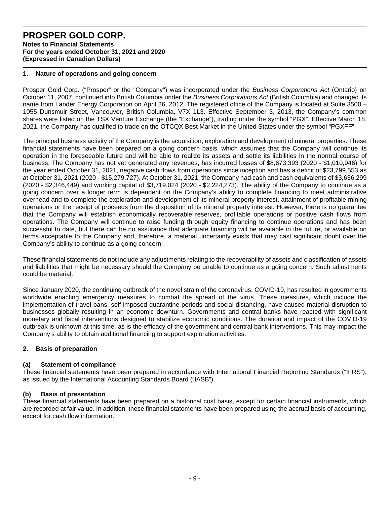**Notes to Financial Statements For the years ended October 31, 2021 and 2020 (Expressed in Canadian Dollars)** 

#### **1. Nature of operations and going concern**

Prosper Gold Corp. ("Prosper" or the "Company") was incorporated under the *Business Corporations Act* (Ontario) on October 11, 2007, continued into British Columbia under the *Business Corporations Act* (British Columbia) and changed its name from Lander Energy Corporation on April 26, 2012. The registered office of the Company is located at Suite 3500 – 1055 Dunsmuir Street, Vancouver, British Columbia, V7X 1L3. Effective September 3, 2013, the Company's common shares were listed on the TSX Venture Exchange (the "Exchange"), trading under the symbol "PGX". Effective March 18, 2021, the Company has qualified to trade on the OTCQX Best Market in the United States under the symbol "PGXFF".

The principal business activity of the Company is the acquisition, exploration and development of mineral properties. These financial statements have been prepared on a going concern basis, which assumes that the Company will continue its operation in the foreseeable future and will be able to realize its assets and settle its liabilities in the normal course of business. The Company has not yet generated any revenues, has incurred losses of \$8,673,393 (2020 - \$1,010,946) for the year ended October 31, 2021, negative cash flows from operations since inception and has a deficit of \$23,799,553 as at October 31, 2021 (2020 - \$15,279,727). At October 31, 2021, the Company had cash and cash equivalents of \$3,636,299 (2020 - \$2,346,449) and working capital of \$3,719,024 (2020 - \$2,224,273). The ability of the Company to continue as a going concern over a longer term is dependent on the Company's ability to complete financing to meet administrative overhead and to complete the exploration and development of its mineral property interest, attainment of profitable mining operations or the receipt of proceeds from the disposition of its mineral property interest. However, there is no guarantee that the Company will establish economically recoverable reserves, profitable operations or positive cash flows from operations. The Company will continue to raise funding through equity financing to continue operations and has been successful to date, but there can be no assurance that adequate financing will be available in the future, or available on terms acceptable to the Company and, therefore, a material uncertainty exists that may cast significant doubt over the Company's ability to continue as a going concern.

These financial statements do not include any adjustments relating to the recoverability of assets and classification of assets and liabilities that might be necessary should the Company be unable to continue as a going concern. Such adjustments could be material.

Since January 2020, the continuing outbreak of the novel strain of the coronavirus, COVID-19, has resulted in governments worldwide enacting emergency measures to combat the spread of the virus. These measures, which include the implementation of travel bans, self-imposed quarantine periods and social distancing, have caused material disruption to businesses globally resulting in an economic downturn. Governments and central banks have reacted with significant monetary and fiscal interventions designed to stabilize economic conditions. The duration and impact of the COVID-19 outbreak is unknown at this time, as is the efficacy of the government and central bank interventions. This may impact the Company's ability to obtain additional financing to support exploration activities.

### **2. Basis of preparation**

#### **(a) Statement of compliance**

These financial statements have been prepared in accordance with International Financial Reporting Standards ("IFRS"), as issued by the International Accounting Standards Board ("IASB").

#### **(b) Basis of presentation**

These financial statements have been prepared on a historical cost basis, except for certain financial instruments, which are recorded at fair value. In addition, these financial statements have been prepared using the accrual basis of accounting, except for cash flow information.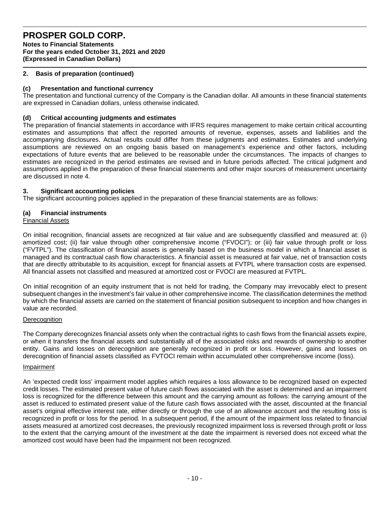**Notes to Financial Statements For the years ended October 31, 2021 and 2020 (Expressed in Canadian Dollars)** 

### **2. Basis of preparation (continued)**

### **(c) Presentation and functional currency**

The presentation and functional currency of the Company is the Canadian dollar. All amounts in these financial statements are expressed in Canadian dollars, unless otherwise indicated.

### **(d) Critical accounting judgments and estimates**

The preparation of financial statements in accordance with IFRS requires management to make certain critical accounting estimates and assumptions that affect the reported amounts of revenue, expenses, assets and liabilities and the accompanying disclosures. Actual results could differ from these judgments and estimates. Estimates and underlying assumptions are reviewed on an ongoing basis based on management's experience and other factors, including expectations of future events that are believed to be reasonable under the circumstances. The impacts of changes to estimates are recognized in the period estimates are revised and in future periods affected. The critical judgment and assumptions applied in the preparation of these financial statements and other major sources of measurement uncertainty are discussed in note 4.

### **3. Significant accounting policies**

The significant accounting policies applied in the preparation of these financial statements are as follows:

### **(a) Financial instruments**

#### Financial Assets

On initial recognition, financial assets are recognized at fair value and are subsequently classified and measured at: (i) amortized cost; (ii) fair value through other comprehensive income ("FVOCI"); or (iii) fair value through profit or loss ("FVTPL"). The classification of financial assets is generally based on the business model in which a financial asset is managed and its contractual cash flow characteristics. A financial asset is measured at fair value, net of transaction costs that are directly attributable to its acquisition, except for financial assets at FVTPL where transaction costs are expensed. All financial assets not classified and measured at amortized cost or FVOCI are measured at FVTPL.

On initial recognition of an equity instrument that is not held for trading, the Company may irrevocably elect to present subsequent changes in the investment's fair value in other comprehensive income. The classification determines the method by which the financial assets are carried on the statement of financial position subsequent to inception and how changes in value are recorded.

#### **Derecognition**

The Company derecognizes financial assets only when the contractual rights to cash flows from the financial assets expire, or when it transfers the financial assets and substantially all of the associated risks and rewards of ownership to another entity. Gains and losses on derecognition are generally recognized in profit or loss. However, gains and losses on derecognition of financial assets classified as FVTOCI remain within accumulated other comprehensive income (loss).

#### Impairment

An 'expected credit loss' impairment model applies which requires a loss allowance to be recognized based on expected credit losses. The estimated present value of future cash flows associated with the asset is determined and an impairment loss is recognized for the difference between this amount and the carrying amount as follows: the carrying amount of the asset is reduced to estimated present value of the future cash flows associated with the asset, discounted at the financial asset's original effective interest rate, either directly or through the use of an allowance account and the resulting loss is recognized in profit or loss for the period. In a subsequent period, if the amount of the impairment loss related to financial assets measured at amortized cost decreases, the previously recognized impairment loss is reversed through profit or loss to the extent that the carrying amount of the investment at the date the impairment is reversed does not exceed what the amortized cost would have been had the impairment not been recognized.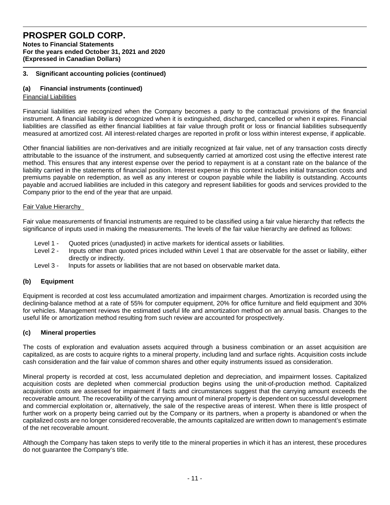**Notes to Financial Statements For the years ended October 31, 2021 and 2020 (Expressed in Canadian Dollars)** 

### **3. Significant accounting policies (continued)**

## **(a) Financial instruments (continued)**

### Financial Liabilities

Financial liabilities are recognized when the Company becomes a party to the contractual provisions of the financial instrument. A financial liability is derecognized when it is extinguished, discharged, cancelled or when it expires. Financial liabilities are classified as either financial liabilities at fair value through profit or loss or financial liabilities subsequently measured at amortized cost. All interest-related charges are reported in profit or loss within interest expense, if applicable.

Other financial liabilities are non-derivatives and are initially recognized at fair value, net of any transaction costs directly attributable to the issuance of the instrument, and subsequently carried at amortized cost using the effective interest rate method. This ensures that any interest expense over the period to repayment is at a constant rate on the balance of the liability carried in the statements of financial position. Interest expense in this context includes initial transaction costs and premiums payable on redemption, as well as any interest or coupon payable while the liability is outstanding. Accounts payable and accrued liabilities are included in this category and represent liabilities for goods and services provided to the Company prior to the end of the year that are unpaid.

#### Fair Value Hierarchy

Fair value measurements of financial instruments are required to be classified using a fair value hierarchy that reflects the significance of inputs used in making the measurements. The levels of the fair value hierarchy are defined as follows:

- Level 1 Quoted prices (unadjusted) in active markets for identical assets or liabilities.
- Level 2 Inputs other than quoted prices included within Level 1 that are observable for the asset or liability, either directly or indirectly.
- Level 3 Inputs for assets or liabilities that are not based on observable market data.

#### **(b) Equipment**

Equipment is recorded at cost less accumulated amortization and impairment charges. Amortization is recorded using the declining-balance method at a rate of 55% for computer equipment, 20% for office furniture and field equipment and 30% for vehicles. Management reviews the estimated useful life and amortization method on an annual basis. Changes to the useful life or amortization method resulting from such review are accounted for prospectively.

### **(c) Mineral properties**

The costs of exploration and evaluation assets acquired through a business combination or an asset acquisition are capitalized, as are costs to acquire rights to a mineral property, including land and surface rights. Acquisition costs include cash consideration and the fair value of common shares and other equity instruments issued as consideration.

Mineral property is recorded at cost, less accumulated depletion and depreciation, and impairment losses. Capitalized acquisition costs are depleted when commercial production begins using the unit-of-production method. Capitalized acquisition costs are assessed for impairment if facts and circumstances suggest that the carrying amount exceeds the recoverable amount. The recoverability of the carrying amount of mineral property is dependent on successful development and commercial exploitation or, alternatively, the sale of the respective areas of interest. When there is little prospect of further work on a property being carried out by the Company or its partners, when a property is abandoned or when the capitalized costs are no longer considered recoverable, the amounts capitalized are written down to management's estimate of the net recoverable amount.

Although the Company has taken steps to verify title to the mineral properties in which it has an interest, these procedures do not guarantee the Company's title.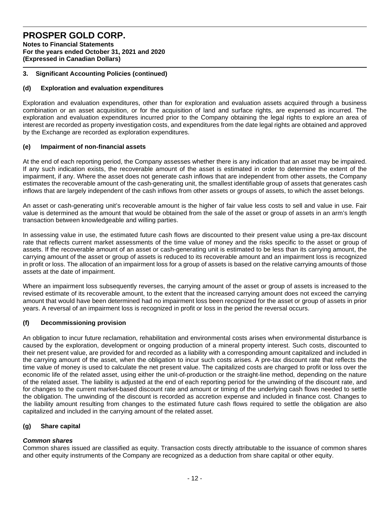**Notes to Financial Statements For the years ended October 31, 2021 and 2020 (Expressed in Canadian Dollars)** 

### **3. Significant Accounting Policies (continued)**

### **(d) Exploration and evaluation expenditures**

Exploration and evaluation expenditures, other than for exploration and evaluation assets acquired through a business combination or an asset acquisition, or for the acquisition of land and surface rights, are expensed as incurred. The exploration and evaluation expenditures incurred prior to the Company obtaining the legal rights to explore an area of interest are recorded as property investigation costs, and expenditures from the date legal rights are obtained and approved by the Exchange are recorded as exploration expenditures.

### **(e) Impairment of non-financial assets**

At the end of each reporting period, the Company assesses whether there is any indication that an asset may be impaired. If any such indication exists, the recoverable amount of the asset is estimated in order to determine the extent of the impairment, if any. Where the asset does not generate cash inflows that are independent from other assets, the Company estimates the recoverable amount of the cash-generating unit, the smallest identifiable group of assets that generates cash inflows that are largely independent of the cash inflows from other assets or groups of assets, to which the asset belongs.

An asset or cash-generating unit's recoverable amount is the higher of fair value less costs to sell and value in use. Fair value is determined as the amount that would be obtained from the sale of the asset or group of assets in an arm's length transaction between knowledgeable and willing parties.

In assessing value in use, the estimated future cash flows are discounted to their present value using a pre-tax discount rate that reflects current market assessments of the time value of money and the risks specific to the asset or group of assets. If the recoverable amount of an asset or cash-generating unit is estimated to be less than its carrying amount, the carrying amount of the asset or group of assets is reduced to its recoverable amount and an impairment loss is recognized in profit or loss. The allocation of an impairment loss for a group of assets is based on the relative carrying amounts of those assets at the date of impairment.

Where an impairment loss subsequently reverses, the carrying amount of the asset or group of assets is increased to the revised estimate of its recoverable amount, to the extent that the increased carrying amount does not exceed the carrying amount that would have been determined had no impairment loss been recognized for the asset or group of assets in prior years. A reversal of an impairment loss is recognized in profit or loss in the period the reversal occurs.

### **(f) Decommissioning provision**

An obligation to incur future reclamation, rehabilitation and environmental costs arises when environmental disturbance is caused by the exploration, development or ongoing production of a mineral property interest. Such costs, discounted to their net present value, are provided for and recorded as a liability with a corresponding amount capitalized and included in the carrying amount of the asset, when the obligation to incur such costs arises. A pre-tax discount rate that reflects the time value of money is used to calculate the net present value. The capitalized costs are charged to profit or loss over the economic life of the related asset, using either the unit-of-production or the straight-line method, depending on the nature of the related asset. The liability is adjusted at the end of each reporting period for the unwinding of the discount rate, and for changes to the current market-based discount rate and amount or timing of the underlying cash flows needed to settle the obligation. The unwinding of the discount is recorded as accretion expense and included in finance cost. Changes to the liability amount resulting from changes to the estimated future cash flows required to settle the obligation are also capitalized and included in the carrying amount of the related asset.

### **(g) Share capital**

### *Common shares*

Common shares issued are classified as equity. Transaction costs directly attributable to the issuance of common shares and other equity instruments of the Company are recognized as a deduction from share capital or other equity.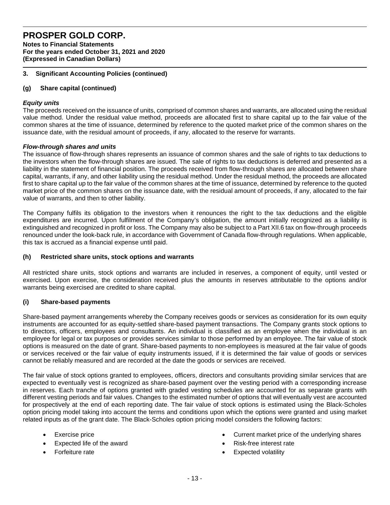**Notes to Financial Statements For the years ended October 31, 2021 and 2020 (Expressed in Canadian Dollars)** 

## **3. Significant Accounting Policies (continued)**

## **(g) Share capital (continued)**

### *Equity units*

The proceeds received on the issuance of units, comprised of common shares and warrants, are allocated using the residual value method. Under the residual value method, proceeds are allocated first to share capital up to the fair value of the common shares at the time of issuance, determined by reference to the quoted market price of the common shares on the issuance date, with the residual amount of proceeds, if any, allocated to the reserve for warrants.

### *Flow-through shares and units*

The issuance of flow-through shares represents an issuance of common shares and the sale of rights to tax deductions to the investors when the flow-through shares are issued. The sale of rights to tax deductions is deferred and presented as a liability in the statement of financial position. The proceeds received from flow-through shares are allocated between share capital, warrants, if any, and other liability using the residual method. Under the residual method, the proceeds are allocated first to share capital up to the fair value of the common shares at the time of issuance, determined by reference to the quoted market price of the common shares on the issuance date, with the residual amount of proceeds, if any, allocated to the fair value of warrants, and then to other liability.

The Company fulfils its obligation to the investors when it renounces the right to the tax deductions and the eligible expenditures are incurred. Upon fulfilment of the Company's obligation, the amount initially recognized as a liability is extinguished and recognized in profit or loss. The Company may also be subject to a Part XII.6 tax on flow-through proceeds renounced under the look-back rule, in accordance with Government of Canada flow-through regulations. When applicable, this tax is accrued as a financial expense until paid.

### **(h) Restricted share units, stock options and warrants**

All restricted share units, stock options and warrants are included in reserves, a component of equity, until vested or exercised. Upon exercise, the consideration received plus the amounts in reserves attributable to the options and/or warrants being exercised are credited to share capital.

### **(i) Share-based payments**

Share-based payment arrangements whereby the Company receives goods or services as consideration for its own equity instruments are accounted for as equity-settled share-based payment transactions. The Company grants stock options to to directors, officers, employees and consultants. An individual is classified as an employee when the individual is an employee for legal or tax purposes or provides services similar to those performed by an employee. The fair value of stock options is measured on the date of grant. Share-based payments to non-employees is measured at the fair value of goods or services received or the fair value of equity instruments issued, if it is determined the fair value of goods or services cannot be reliably measured and are recorded at the date the goods or services are received.

The fair value of stock options granted to employees, officers, directors and consultants providing similar services that are expected to eventually vest is recognized as share-based payment over the vesting period with a corresponding increase in reserves. Each tranche of options granted with graded vesting schedules are accounted for as separate grants with different vesting periods and fair values. Changes to the estimated number of options that will eventually vest are accounted for prospectively at the end of each reporting date. The fair value of stock options is estimated using the Black-Scholes option pricing model taking into account the terms and conditions upon which the options were granted and using market related inputs as of the grant date. The Black-Scholes option pricing model considers the following factors:

- Exercise price
- Expected life of the award
- Forfeiture rate
- Current market price of the underlying shares
- Risk-free interest rate
- Expected volatility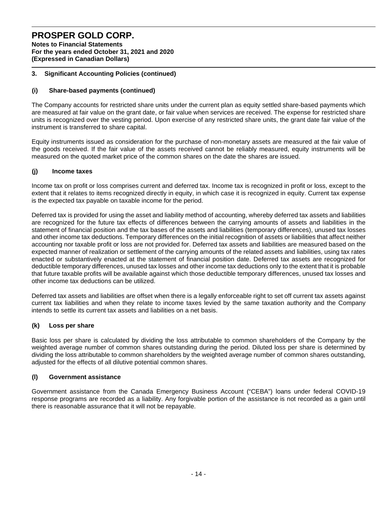**Notes to Financial Statements For the years ended October 31, 2021 and 2020 (Expressed in Canadian Dollars)** 

### **3. Significant Accounting Policies (continued)**

### **(i) Share-based payments (continued)**

The Company accounts for restricted share units under the current plan as equity settled share-based payments which are measured at fair value on the grant date, or fair value when services are received. The expense for restricted share units is recognized over the vesting period. Upon exercise of any restricted share units, the grant date fair value of the instrument is transferred to share capital.

Equity instruments issued as consideration for the purchase of non-monetary assets are measured at the fair value of the goods received. If the fair value of the assets received cannot be reliably measured, equity instruments will be measured on the quoted market price of the common shares on the date the shares are issued.

### **(j) Income taxes**

Income tax on profit or loss comprises current and deferred tax. Income tax is recognized in profit or loss, except to the extent that it relates to items recognized directly in equity, in which case it is recognized in equity. Current tax expense is the expected tax payable on taxable income for the period.

Deferred tax is provided for using the asset and liability method of accounting, whereby deferred tax assets and liabilities are recognized for the future tax effects of differences between the carrying amounts of assets and liabilities in the statement of financial position and the tax bases of the assets and liabilities (temporary differences), unused tax losses and other income tax deductions. Temporary differences on the initial recognition of assets or liabilities that affect neither accounting nor taxable profit or loss are not provided for. Deferred tax assets and liabilities are measured based on the expected manner of realization or settlement of the carrying amounts of the related assets and liabilities, using tax rates enacted or substantively enacted at the statement of financial position date. Deferred tax assets are recognized for deductible temporary differences, unused tax losses and other income tax deductions only to the extent that it is probable that future taxable profits will be available against which those deductible temporary differences, unused tax losses and other income tax deductions can be utilized.

Deferred tax assets and liabilities are offset when there is a legally enforceable right to set off current tax assets against current tax liabilities and when they relate to income taxes levied by the same taxation authority and the Company intends to settle its current tax assets and liabilities on a net basis.

### **(k) Loss per share**

Basic loss per share is calculated by dividing the loss attributable to common shareholders of the Company by the weighted average number of common shares outstanding during the period. Diluted loss per share is determined by dividing the loss attributable to common shareholders by the weighted average number of common shares outstanding, adjusted for the effects of all dilutive potential common shares.

### **(l) Government assistance**

Government assistance from the Canada Emergency Business Account ("CEBA") loans under federal COVID-19 response programs are recorded as a liability. Any forgivable portion of the assistance is not recorded as a gain until there is reasonable assurance that it will not be repayable.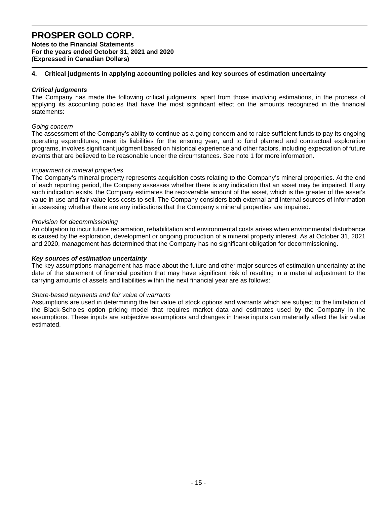**Notes to the Financial Statements For the years ended October 31, 2021 and 2020 (Expressed in Canadian Dollars)** 

### **4. Critical judgments in applying accounting policies and key sources of estimation uncertainty**

#### *Critical judgments*

The Company has made the following critical judgments, apart from those involving estimations, in the process of applying its accounting policies that have the most significant effect on the amounts recognized in the financial statements:

#### *Going concern*

The assessment of the Company's ability to continue as a going concern and to raise sufficient funds to pay its ongoing operating expenditures, meet its liabilities for the ensuing year, and to fund planned and contractual exploration programs, involves significant judgment based on historical experience and other factors, including expectation of future events that are believed to be reasonable under the circumstances. See note 1 for more information.

#### *Impairment of mineral properties*

The Company's mineral property represents acquisition costs relating to the Company's mineral properties. At the end of each reporting period, the Company assesses whether there is any indication that an asset may be impaired. If any such indication exists, the Company estimates the recoverable amount of the asset, which is the greater of the asset's value in use and fair value less costs to sell. The Company considers both external and internal sources of information in assessing whether there are any indications that the Company's mineral properties are impaired.

#### *Provision for decommissioning*

An obligation to incur future reclamation, rehabilitation and environmental costs arises when environmental disturbance is caused by the exploration, development or ongoing production of a mineral property interest. As at October 31, 2021 and 2020, management has determined that the Company has no significant obligation for decommissioning.

#### *Key sources of estimation uncertainty*

The key assumptions management has made about the future and other major sources of estimation uncertainty at the date of the statement of financial position that may have significant risk of resulting in a material adjustment to the carrying amounts of assets and liabilities within the next financial year are as follows:

#### *Share-based payments and fair value of warrants*

Assumptions are used in determining the fair value of stock options and warrants which are subject to the limitation of the Black-Scholes option pricing model that requires market data and estimates used by the Company in the assumptions. These inputs are subjective assumptions and changes in these inputs can materially affect the fair value estimated.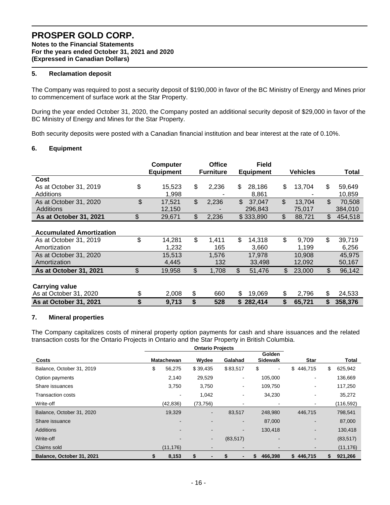**Notes to the Financial Statements For the years ended October 31, 2021 and 2020 (Expressed in Canadian Dollars)** 

# **5. Reclamation deposit**

The Company was required to post a security deposit of \$190,000 in favor of the BC Ministry of Energy and Mines prior to commencement of surface work at the Star Property.

During the year ended October 31, 2020, the Company posted an additional security deposit of \$29,000 in favor of the BC Ministry of Energy and Mines for the Star Property.

Both security deposits were posted with a Canadian financial institution and bear interest at the rate of 0.10%.

#### **6. Equipment**

|                                 | <b>Computer</b>  | <b>Office</b>    | <b>Field</b>     |              |                |         |
|---------------------------------|------------------|------------------|------------------|--------------|----------------|---------|
|                                 | <b>Equipment</b> | <b>Furniture</b> | <b>Equipment</b> | Vehicles     |                | Total   |
| Cost                            |                  |                  |                  |              |                |         |
| As at October 31, 2019          | \$<br>15,523     | \$<br>2,236      | \$<br>28,186     | \$<br>13,704 | \$             | 59,649  |
| Additions                       | 1,998            |                  | 8,861            |              |                | 10,859  |
| As at October 31, 2020          | \$<br>17,521     | \$<br>2,236      | \$<br>37,047     | \$<br>13,704 | $\mathfrak{L}$ | 70,508  |
| <b>Additions</b>                | 12,150           |                  | 296,843          | 75,017       |                | 384,010 |
| As at October 31, 2021          | \$<br>29,671     | \$<br>2,236      | \$333,890        | \$<br>88,721 | \$             | 454,518 |
|                                 |                  |                  |                  |              |                |         |
| <b>Accumulated Amortization</b> |                  |                  |                  |              |                |         |
| As at October 31, 2019          | \$<br>14,281     | \$<br>1,411      | \$<br>14,318     | \$<br>9,709  | \$             | 39,719  |
| Amortization                    | 1,232            | 165              | 3,660            | 1,199        |                | 6,256   |
| As at October 31, 2020          | 15,513           | 1,576            | 17,978           | 10,908       |                | 45,975  |
| Amortization                    | 4,445            | 132              | 33,498           | 12,092       |                | 50,167  |
| As at October 31, 2021          | \$<br>19,958     | \$<br>1,708      | \$<br>51,476     | \$<br>23,000 | \$             | 96,142  |
|                                 |                  |                  |                  |              |                |         |
| <b>Carrying value</b>           |                  |                  |                  |              |                |         |
| As at October 31, 2020          | \$<br>2,008      | \$<br>660        | \$<br>19,069     | \$<br>2,796  | \$             | 24,533  |
| As at October 31, 2021          | \$<br>9,713      | \$<br>528        | \$282,414        | \$<br>65,721 | \$             | 358,376 |

#### **7. Mineral properties**

The Company capitalizes costs of mineral property option payments for cash and share issuances and the related transaction costs for the Ontario Projects in Ontario and the Star Property in British Columbia.

|                           | <b>Ontario Projects</b> |                   |                |           |                      |                          |               |
|---------------------------|-------------------------|-------------------|----------------|-----------|----------------------|--------------------------|---------------|
| Costs                     |                         | <b>Matachewan</b> | Wydee          | Galahad   | Golden<br>Sidewalk   | <b>Star</b>              | Total         |
| Balance, October 31, 2019 | \$                      | 56,275            | \$39,435       | \$83,517  | \$<br>$\blacksquare$ | \$<br>446,715            | \$<br>625,942 |
| Option payments           |                         | 2,140             | 29,529         | ۰.        | 105,000              | $\blacksquare$           | 136,669       |
| Share issuances           |                         | 3,750             | 3,750          | ۰.        | 109,750              | $\blacksquare$           | 117,250       |
| <b>Transaction costs</b>  |                         |                   | 1,042          | ۰.        | 34,230               | $\blacksquare$           | 35,272        |
| Write-off                 |                         | (42, 836)         | (73, 756)      |           |                      | $\blacksquare$           | (116, 592)    |
| Balance, October 31, 2020 |                         | 19,329            | $\blacksquare$ | 83,517    | 248,980              | 446,715                  | 798,541       |
| Share issuance            |                         |                   |                | ۰.        | 87,000               | $\blacksquare$           | 87,000        |
| <b>Additions</b>          |                         |                   |                | ۰.        | 130,418              | $\overline{\phantom{a}}$ | 130,418       |
| Write-off                 |                         |                   | $\blacksquare$ | (83, 517) |                      | $\overline{\phantom{a}}$ | (83, 517)     |
| Claims sold               |                         | (11, 176)         |                |           |                      | $\blacksquare$           | (11, 176)     |
| Balance, October 31, 2021 |                         | 8,153             | S              | S         | 466,398<br>\$        | 446,715<br>\$            | 921,266<br>S  |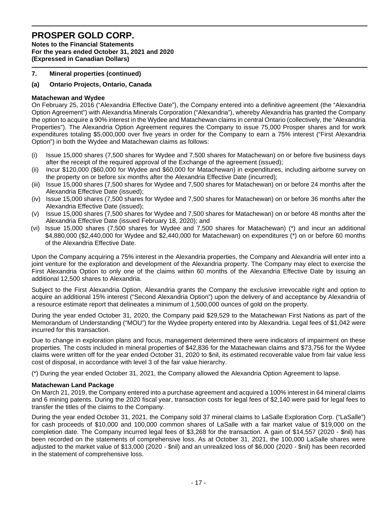**Notes to the Financial Statements For the years ended October 31, 2021 and 2020 (Expressed in Canadian Dollars)** 

### **7. Mineral properties (continued)**

### **(a) Ontario Projects, Ontario, Canada**

### **Matachewan and Wydee**

On February 25, 2016 ("Alexandria Effective Date"), the Company entered into a definitive agreement (the "Alexandria Option Agreement") with Alexandria Minerals Corporation ("Alexandria"), whereby Alexandria has granted the Company the option to acquire a 90% interest in the Wydee and Matachewan claims in central Ontario (collectively, the "Alexandria Properties"). The Alexandria Option Agreement requires the Company to issue 75,000 Prosper shares and for work expenditures totaling \$5,000,000 over five years in order for the Company to earn a 75% interest ("First Alexandria Option") in both the Wydee and Matachewan claims as follows:

- (i) Issue 15,000 shares (7,500 shares for Wydee and 7,500 shares for Matachewan) on or before five business days after the receipt of the required approval of the Exchange of the agreement (issued);
- (ii) Incur \$120,000 (\$60,000 for Wydee and \$60,000 for Matachewan) in expenditures, including airborne survey on the property on or before six months after the Alexandria Effective Date (incurred);
- (iii) Issue 15,000 shares (7,500 shares for Wydee and 7,500 shares for Matachewan) on or before 24 months after the Alexandria Effective Date (issued);
- (iv) Issue 15,000 shares (7,500 shares for Wydee and 7,500 shares for Matachewan) on or before 36 months after the Alexandria Effective Date (issued);
- (v) Issue 15,000 shares (7,500 shares for Wydee and 7,500 shares for Matachewan) on or before 48 months after the Alexandria Effective Date (issued February 18, 2020); and
- (vi) Issue 15,000 shares (7,500 shares for Wydee and 7,500 shares for Matachewan) (\*) and incur an additional \$4,880,000 (\$2,440,000 for Wydee and \$2,440,000 for Matachewan) on expenditures (\*) on or before 60 months of the Alexandria Effective Date.

Upon the Company acquiring a 75% interest in the Alexandria properties, the Company and Alexandria will enter into a joint venture for the exploration and development of the Alexandria property. The Company may elect to exercise the First Alexandria Option to only one of the claims within 60 months of the Alexandria Effective Date by issuing an additional 12,500 shares to Alexandria.

Subject to the First Alexandria Option, Alexandria grants the Company the exclusive irrevocable right and option to acquire an additional 15% interest ("Second Alexandria Option") upon the delivery of and acceptance by Alexandria of a resource estimate report that delineates a minimum of 1,500,000 ounces of gold on the property.

During the year ended October 31, 2020, the Company paid \$29,529 to the Matachewan First Nations as part of the Memorandum of Understanding ("MOU") for the Wydee property entered into by Alexandria. Legal fees of \$1,042 were incurred for this transaction.

Due to change in exploration plans and focus, management determined there were indicators of impairment on these properties. The costs included in mineral properties of \$42,836 for the Matachewan claims and \$73,756 for the Wydee claims were written off for the year ended October 31, 2020 to \$nil, its estimated recoverable value from fair value less cost of disposal, in accordance with level 3 of the fair value hierarchy.

(\*) During the year ended October 31, 2021, the Company allowed the Alexandria Option Agreement to lapse.

#### **Matachewan Land Package**

On March 21, 2019, the Company entered into a purchase agreement and acquired a 100% interest in 64 mineral claims and 6 mining patents. During the 2020 fiscal year, transaction costs for legal fees of \$2,140 were paid for legal fees to transfer the titles of the claims to the Company.

During the year ended October 31, 2021, the Company sold 37 mineral claims to LaSalle Exploration Corp. ("LaSalle") for cash proceeds of \$10,000 and 100,000 common shares of LaSalle with a fair market value of \$19,000 on the completion date. The Company incurred legal fees of \$3,268 for the transaction. A gain of \$14,557 (2020 - \$nil) has been recorded on the statements of comprehensive loss. As at October 31, 2021, the 100,000 LaSalle shares were adjusted to the market value of \$13,000 (2020 - \$nil) and an unrealized loss of \$6,000 (2020 - \$nil) has been recorded in the statement of comprehensive loss.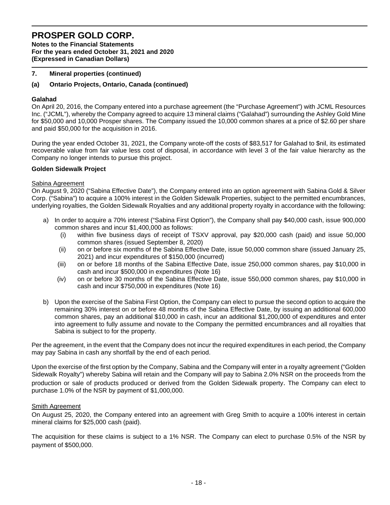**Notes to the Financial Statements For the years ended October 31, 2021 and 2020 (Expressed in Canadian Dollars)** 

### **7. Mineral properties (continued)**

#### **(a) Ontario Projects, Ontario, Canada (continued)**

#### **Galahad**

On April 20, 2016, the Company entered into a purchase agreement (the "Purchase Agreement") with JCML Resources Inc. ("JCML"), whereby the Company agreed to acquire 13 mineral claims ("Galahad") surrounding the Ashley Gold Mine for \$50,000 and 10,000 Prosper shares. The Company issued the 10,000 common shares at a price of \$2.60 per share and paid \$50,000 for the acquisition in 2016.

During the year ended October 31, 2021, the Company wrote-off the costs of \$83,517 for Galahad to \$nil, its estimated recoverable value from fair value less cost of disposal, in accordance with level 3 of the fair value hierarchy as the Company no longer intends to pursue this project.

#### **Golden Sidewalk Project**

#### Sabina Agreement

On August 9, 2020 ("Sabina Effective Date"), the Company entered into an option agreement with Sabina Gold & Silver Corp. ("Sabina") to acquire a 100% interest in the Golden Sidewalk Properties, subject to the permitted encumbrances, underlying royalties, the Golden Sidewalk Royalties and any additional property royalty in accordance with the following:

- a) In order to acquire a 70% interest ("Sabina First Option"), the Company shall pay \$40,000 cash, issue 900,000 common shares and incur \$1,400,000 as follows:
	- (i) within five business days of receipt of TSXV approval, pay \$20,000 cash (paid) and issue 50,000 common shares (issued September 8, 2020)
	- (ii) on or before six months of the Sabina Effective Date, issue 50,000 common share (issued January 25, 2021) and incur expenditures of \$150,000 (incurred)
	- (iii) on or before 18 months of the Sabina Effective Date, issue 250,000 common shares, pay \$10,000 in cash and incur \$500,000 in expenditures (Note 16)
	- (iv) on or before 30 months of the Sabina Effective Date, issue 550,000 common shares, pay \$10,000 in cash and incur \$750,000 in expenditures (Note 16)
- b) Upon the exercise of the Sabina First Option, the Company can elect to pursue the second option to acquire the remaining 30% interest on or before 48 months of the Sabina Effective Date, by issuing an additional 600,000 common shares, pay an additional \$10,000 in cash, incur an additional \$1,200,000 of expenditures and enter into agreement to fully assume and novate to the Company the permitted encumbrances and all royalties that Sabina is subject to for the property.

Per the agreement, in the event that the Company does not incur the required expenditures in each period, the Company may pay Sabina in cash any shortfall by the end of each period.

Upon the exercise of the first option by the Company, Sabina and the Company will enter in a royalty agreement ("Golden Sidewalk Royalty") whereby Sabina will retain and the Company will pay to Sabina 2.0% NSR on the proceeds from the production or sale of products produced or derived from the Golden Sidewalk property. The Company can elect to purchase 1.0% of the NSR by payment of \$1,000,000.

#### Smith Agreement

On August 25, 2020, the Company entered into an agreement with Greg Smith to acquire a 100% interest in certain mineral claims for \$25,000 cash (paid).

The acquisition for these claims is subject to a 1% NSR. The Company can elect to purchase 0.5% of the NSR by payment of \$500,000.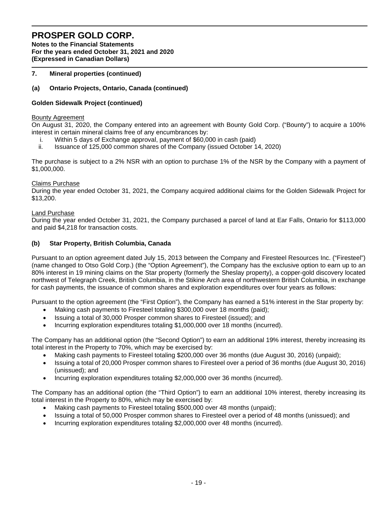**Notes to the Financial Statements For the years ended October 31, 2021 and 2020 (Expressed in Canadian Dollars)** 

### **7. Mineral properties (continued)**

## **(a) Ontario Projects, Ontario, Canada (continued)**

### **Golden Sidewalk Project (continued)**

#### Bounty Agreement

On August 31, 2020, the Company entered into an agreement with Bounty Gold Corp. ("Bounty") to acquire a 100% interest in certain mineral claims free of any encumbrances by:

- i. Within 5 days of Exchange approval, payment of \$60,000 in cash (paid)
- ii. Issuance of 125,000 common shares of the Company (issued October 14, 2020)

The purchase is subject to a 2% NSR with an option to purchase 1% of the NSR by the Company with a payment of \$1,000,000.

#### Claims Purchase

During the year ended October 31, 2021, the Company acquired additional claims for the Golden Sidewalk Project for \$13,200.

#### Land Purchase

During the year ended October 31, 2021, the Company purchased a parcel of land at Ear Falls, Ontario for \$113,000 and paid \$4,218 for transaction costs.

### **(b) Star Property, British Columbia, Canada**

Pursuant to an option agreement dated July 15, 2013 between the Company and Firesteel Resources Inc. ("Firesteel") (name changed to Otso Gold Corp.) (the "Option Agreement"), the Company has the exclusive option to earn up to an 80% interest in 19 mining claims on the Star property (formerly the Sheslay property), a copper-gold discovery located northwest of Telegraph Creek, British Columbia, in the Stikine Arch area of northwestern British Columbia, in exchange for cash payments, the issuance of common shares and exploration expenditures over four years as follows:

Pursuant to the option agreement (the "First Option"), the Company has earned a 51% interest in the Star property by:

- Making cash payments to Firesteel totaling \$300,000 over 18 months (paid);
- Issuing a total of 30,000 Prosper common shares to Firesteel (issued); and
- Incurring exploration expenditures totaling \$1,000,000 over 18 months (incurred).

The Company has an additional option (the "Second Option") to earn an additional 19% interest, thereby increasing its total interest in the Property to 70%, which may be exercised by:

- Making cash payments to Firesteel totaling \$200,000 over 36 months (due August 30, 2016) (unpaid);
- Issuing a total of 20,000 Prosper common shares to Firesteel over a period of 36 months (due August 30, 2016) (unissued); and
- Incurring exploration expenditures totaling \$2,000,000 over 36 months (incurred).

The Company has an additional option (the "Third Option") to earn an additional 10% interest, thereby increasing its total interest in the Property to 80%, which may be exercised by:

- Making cash payments to Firesteel totaling \$500,000 over 48 months (unpaid);
- Issuing a total of 50,000 Prosper common shares to Firesteel over a period of 48 months (unissued); and
- Incurring exploration expenditures totaling \$2,000,000 over 48 months (incurred).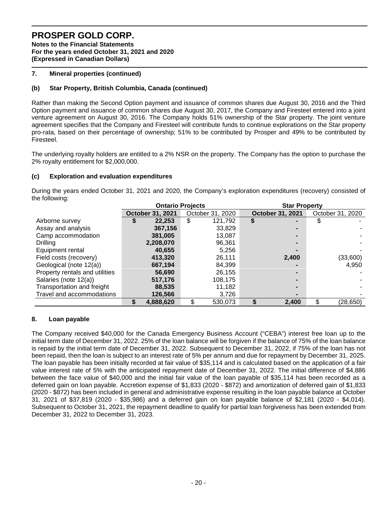**Notes to the Financial Statements For the years ended October 31, 2021 and 2020 (Expressed in Canadian Dollars)** 

### **7. Mineral properties (continued)**

## **(b) Star Property, British Columbia, Canada (continued)**

Rather than making the Second Option payment and issuance of common shares due August 30, 2016 and the Third Option payment and issuance of common shares due August 30, 2017, the Company and Firesteel entered into a joint venture agreement on August 30, 2016. The Company holds 51% ownership of the Star property. The joint venture agreement specifies that the Company and Firesteel will contribute funds to continue explorations on the Star property pro-rata, based on their percentage of ownership; 51% to be contributed by Prosper and 49% to be contributed by Firesteel.

The underlying royalty holders are entitled to a 2% NSR on the property. The Company has the option to purchase the 2% royalty entitlement for \$2,000,000.

### **(c) Exploration and evaluation expenditures**

During the years ended October 31, 2021 and 2020, the Company's exploration expenditures (recovery) consisted of the following:

|                                |   | <b>Ontario Projects</b> |    |                  |  | <b>Star Property</b> |    |                  |  |  |
|--------------------------------|---|-------------------------|----|------------------|--|----------------------|----|------------------|--|--|
|                                |   | October 31, 2021        |    | October 31, 2020 |  | October 31, 2021     |    | October 31, 2020 |  |  |
| Airborne survey                | จ | 22,253                  | \$ | 121,792          |  |                      |    |                  |  |  |
| Assay and analysis             |   | 367,156                 |    | 33,829           |  |                      |    |                  |  |  |
| Camp accommodation             |   | 381,005                 |    | 13,087           |  |                      |    |                  |  |  |
| <b>Drilling</b>                |   | 2,208,070               |    | 96,361           |  |                      |    |                  |  |  |
| Equipment rental               |   | 40,655                  |    | 5.256            |  |                      |    |                  |  |  |
| Field costs (recovery)         |   | 413,320                 |    | 26,111           |  | 2,400                |    | (33,600)         |  |  |
| Geological (note 12(a))        |   | 667,194                 |    | 84,399           |  |                      |    | 4,950            |  |  |
| Property rentals and utilities |   | 56,690                  |    | 26,155           |  |                      |    |                  |  |  |
| Salaries (note 12(a))          |   | 517,176                 |    | 108,175          |  |                      |    |                  |  |  |
| Transportation and freight     |   | 88,535                  |    | 11,182           |  |                      |    |                  |  |  |
| Travel and accommodations      |   | 126,566                 |    | 3,726            |  |                      |    |                  |  |  |
|                                |   | 4,888,620               | \$ | 530,073          |  | 2,400                | \$ | (28, 650)        |  |  |

### **8. Loan payable**

The Company received \$40,000 for the Canada Emergency Business Account ("CEBA") interest free loan up to the initial term date of December 31, 2022. 25% of the loan balance will be forgiven if the balance of 75% of the loan balance is repaid by the initial term date of December 31, 2022. Subsequent to December 31, 2022, if 75% of the loan has not been repaid, then the loan is subject to an interest rate of 5% per annum and due for repayment by December 31, 2025. The loan payable has been initially recorded at fair value of \$35,114 and is calculated based on the application of a fair value interest rate of 5% with the anticipated repayment date of December 31, 2022. The initial difference of \$4,886 between the face value of \$40,000 and the initial fair value of the loan payable of \$35,114 has been recorded as a deferred gain on loan payable. Accretion expense of \$1,833 (2020 - \$872) and amortization of deferred gain of \$1,833 (2020 - \$872) has been included in general and administrative expense resulting in the loan payable balance at October 31, 2021 of \$37,819 (2020 - \$35,986) and a deferred gain on loan payable balance of \$2,181 (2020 - \$4,014). Subsequent to October 31, 2021, the repayment deadline to qualify for partial loan forgiveness has been extended from December 31, 2022 to December 31, 2023.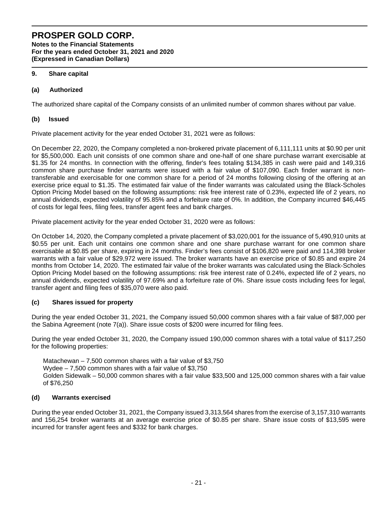### **PROSPER GOLD CORP. Notes to the Financial Statements For the years ended October 31, 2021 and 2020 (Expressed in Canadian Dollars)**

### **9. Share capital**

### **(a) Authorized**

The authorized share capital of the Company consists of an unlimited number of common shares without par value.

### **(b) Issued**

Private placement activity for the year ended October 31, 2021 were as follows:

On December 22, 2020, the Company completed a non-brokered private placement of 6,111,111 units at \$0.90 per unit for \$5,500,000. Each unit consists of one common share and one-half of one share purchase warrant exercisable at \$1.35 for 24 months. In connection with the offering, finder's fees totaling \$134,385 in cash were paid and 149,316 common share purchase finder warrants were issued with a fair value of \$107,090. Each finder warrant is nontransferable and exercisable for one common share for a period of 24 months following closing of the offering at an exercise price equal to \$1.35. The estimated fair value of the finder warrants was calculated using the Black-Scholes Option Pricing Model based on the following assumptions: risk free interest rate of 0.23%, expected life of 2 years, no annual dividends, expected volatility of 95.85% and a forfeiture rate of 0%. In addition, the Company incurred \$46,445 of costs for legal fees, filing fees, transfer agent fees and bank charges.

Private placement activity for the year ended October 31, 2020 were as follows:

On October 14, 2020, the Company completed a private placement of \$3,020,001 for the issuance of 5,490,910 units at \$0.55 per unit. Each unit contains one common share and one share purchase warrant for one common share exercisable at \$0.85 per share, expiring in 24 months. Finder's fees consist of \$106,820 were paid and 114,398 broker warrants with a fair value of \$29,972 were issued. The broker warrants have an exercise price of \$0.85 and expire 24 months from October 14, 2020. The estimated fair value of the broker warrants was calculated using the Black-Scholes Option Pricing Model based on the following assumptions: risk free interest rate of 0.24%, expected life of 2 years, no annual dividends, expected volatility of 97.69% and a forfeiture rate of 0%. Share issue costs including fees for legal, transfer agent and filing fees of \$35,070 were also paid.

### **(c) Shares issued for property**

During the year ended October 31, 2021, the Company issued 50,000 common shares with a fair value of \$87,000 per the Sabina Agreement (note 7(a)). Share issue costs of \$200 were incurred for filing fees.

During the year ended October 31, 2020, the Company issued 190,000 common shares with a total value of \$117,250 for the following properties:

Matachewan  $-7,500$  common shares with a fair value of \$3,750 Wydee – 7,500 common shares with a fair value of \$3,750 Golden Sidewalk – 50,000 common shares with a fair value \$33,500 and 125,000 common shares with a fair value of \$76,250

### **(d) Warrants exercised**

During the year ended October 31, 2021, the Company issued 3,313,564 shares from the exercise of 3,157,310 warrants and 156,254 broker warrants at an average exercise price of \$0.85 per share. Share issue costs of \$13,595 were incurred for transfer agent fees and \$332 for bank charges.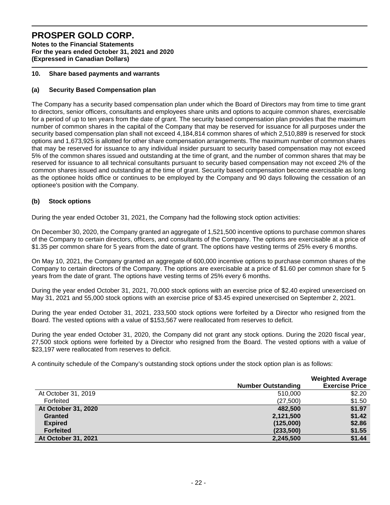**Notes to the Financial Statements For the years ended October 31, 2021 and 2020 (Expressed in Canadian Dollars)** 

### **10. Share based payments and warrants**

# **(a) Security Based Compensation plan**

The Company has a security based compensation plan under which the Board of Directors may from time to time grant to directors, senior officers, consultants and employees share units and options to acquire common shares, exercisable for a period of up to ten years from the date of grant. The security based compensation plan provides that the maximum number of common shares in the capital of the Company that may be reserved for issuance for all purposes under the security based compensation plan shall not exceed 4,184,814 common shares of which 2,510,889 is reserved for stock options and 1,673,925 is allotted for other share compensation arrangements. The maximum number of common shares that may be reserved for issuance to any individual insider pursuant to security based compensation may not exceed 5% of the common shares issued and outstanding at the time of grant, and the number of common shares that may be reserved for issuance to all technical consultants pursuant to security based compensation may not exceed 2% of the common shares issued and outstanding at the time of grant. Security based compensation become exercisable as long as the optionee holds office or continues to be employed by the Company and 90 days following the cessation of an optionee's position with the Company.

## **(b) Stock options**

During the year ended October 31, 2021, the Company had the following stock option activities:

On December 30, 2020, the Company granted an aggregate of 1,521,500 incentive options to purchase common shares of the Company to certain directors, officers, and consultants of the Company. The options are exercisable at a price of \$1.35 per common share for 5 years from the date of grant. The options have vesting terms of 25% every 6 months.

On May 10, 2021, the Company granted an aggregate of 600,000 incentive options to purchase common shares of the Company to certain directors of the Company. The options are exercisable at a price of \$1.60 per common share for 5 years from the date of grant. The options have vesting terms of 25% every 6 months.

During the year ended October 31, 2021, 70,000 stock options with an exercise price of \$2.40 expired unexercised on May 31, 2021 and 55,000 stock options with an exercise price of \$3.45 expired unexercised on September 2, 2021.

During the year ended October 31, 2021, 233,500 stock options were forfeited by a Director who resigned from the Board. The vested options with a value of \$153,567 were reallocated from reserves to deficit.

During the year ended October 31, 2020, the Company did not grant any stock options. During the 2020 fiscal year, 27,500 stock options were forfeited by a Director who resigned from the Board. The vested options with a value of \$23,197 were reallocated from reserves to deficit.

A continuity schedule of the Company's outstanding stock options under the stock option plan is as follows:

|                     |                           | <b>Weighted Average</b> |
|---------------------|---------------------------|-------------------------|
|                     | <b>Number Outstanding</b> | <b>Exercise Price</b>   |
| At October 31, 2019 | 510,000                   | \$2.20                  |
| Forfeited           | (27, 500)                 | \$1.50                  |
| At October 31, 2020 | 482,500                   | \$1.97                  |
| <b>Granted</b>      | 2,121,500                 | \$1.42                  |
| <b>Expired</b>      | (125,000)                 | \$2.86                  |
| <b>Forfeited</b>    | (233,500)                 | \$1.55                  |
| At October 31, 2021 | 2,245,500                 | \$1.44                  |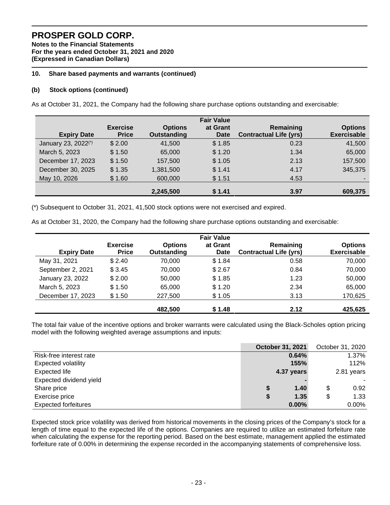**Notes to the Financial Statements For the years ended October 31, 2021 and 2020 (Expressed in Canadian Dollars)** 

### **10. Share based payments and warrants (continued)**

### **(b) Stock options (continued)**

As at October 31, 2021, the Company had the following share purchase options outstanding and exercisable:

|                                 |                 |                    | <b>Fair Value</b> |                               |                    |
|---------------------------------|-----------------|--------------------|-------------------|-------------------------------|--------------------|
|                                 | <b>Exercise</b> | <b>Options</b>     | at Grant          | Remaining                     | <b>Options</b>     |
| <b>Expiry Date</b>              | <b>Price</b>    | <b>Outstanding</b> | <b>Date</b>       | <b>Contractual Life (yrs)</b> | <b>Exercisable</b> |
| January 23, 2022 <sup>(*)</sup> | \$2.00          | 41,500             | \$1.85            | 0.23                          | 41,500             |
| March 5, 2023                   | \$1.50          | 65,000             | \$1.20            | 1.34                          | 65,000             |
| December 17, 2023               | \$1.50          | 157,500            | \$1.05            | 2.13                          | 157,500            |
| December 30, 2025               | \$1.35          | 1,381,500          | \$1.41            | 4.17                          | 345,375            |
| May 10, 2026                    | \$1.60          | 600,000            | \$1.51            | 4.53                          |                    |
|                                 |                 | 2,245,500          | \$1.41            | 3.97                          | 609.375            |

(\*) Subsequent to October 31, 2021, 41,500 stock options were not exercised and expired.

As at October 31, 2020, the Company had the following share purchase options outstanding and exercisable:

|                    |                                 |                               | <b>Fair Value</b>       |                                            |                                      |
|--------------------|---------------------------------|-------------------------------|-------------------------|--------------------------------------------|--------------------------------------|
| <b>Expiry Date</b> | <b>Exercise</b><br><b>Price</b> | <b>Options</b><br>Outstanding | at Grant<br><b>Date</b> | Remaining<br><b>Contractual Life (yrs)</b> | <b>Options</b><br><b>Exercisable</b> |
| May 31, 2021       | \$2.40                          | 70,000                        | \$1.84                  | 0.58                                       | 70,000                               |
| September 2, 2021  | \$3.45                          | 70.000                        | \$2.67                  | 0.84                                       | 70,000                               |
| January 23, 2022   | \$2.00                          | 50,000                        | \$1.85                  | 1.23                                       | 50,000                               |
| March 5, 2023      | \$1.50                          | 65,000                        | \$1.20                  | 2.34                                       | 65,000                               |
| December 17, 2023  | \$1.50                          | 227,500                       | \$1.05                  | 3.13                                       | 170,625                              |
|                    |                                 | 482.500                       | \$1.48                  | 2.12                                       | 425,625                              |

The total fair value of the incentive options and broker warrants were calculated using the Black-Scholes option pricing model with the following weighted average assumptions and inputs:

|                             |   | <b>October 31, 2021</b> | October 31, 2020 |
|-----------------------------|---|-------------------------|------------------|
| Risk-free interest rate     |   | 0.64%                   | 1.37%            |
| <b>Expected volatility</b>  |   | 155%                    | 112%             |
| <b>Expected life</b>        |   | 4.37 years              | 2.81 years       |
| Expected dividend yield     |   |                         |                  |
| Share price                 | S | 1.40                    | \$<br>0.92       |
| Exercise price              | S | 1.35                    | \$<br>1.33       |
| <b>Expected forfeitures</b> |   | $0.00\%$                | $0.00\%$         |

Expected stock price volatility was derived from historical movements in the closing prices of the Company's stock for a length of time equal to the expected life of the options. Companies are required to utilize an estimated forfeiture rate when calculating the expense for the reporting period. Based on the best estimate, management applied the estimated forfeiture rate of 0.00% in determining the expense recorded in the accompanying statements of comprehensive loss.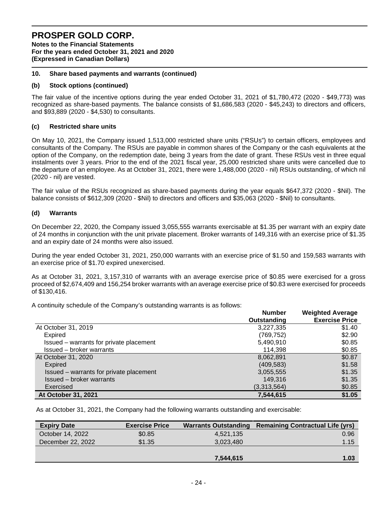**Notes to the Financial Statements For the years ended October 31, 2021 and 2020 (Expressed in Canadian Dollars)** 

#### **10. Share based payments and warrants (continued)**

#### **(b) Stock options (continued)**

The fair value of the incentive options during the year ended October 31, 2021 of \$1,780,472 (2020 - \$49,773) was recognized as share-based payments. The balance consists of \$1,686,583 (2020 - \$45,243) to directors and officers, and \$93,889 (2020 - \$4,530) to consultants.

#### **(c) Restricted share units**

On May 10, 2021, the Company issued 1,513,000 restricted share units ("RSUs") to certain officers, employees and consultants of the Company. The RSUs are payable in common shares of the Company or the cash equivalents at the option of the Company, on the redemption date, being 3 years from the date of grant. These RSUs vest in three equal instalments over 3 years. Prior to the end of the 2021 fiscal year, 25,000 restricted share units were cancelled due to the departure of an employee. As at October 31, 2021, there were 1,488,000 (2020 - nil) RSUs outstanding, of which nil (2020 - nil) are vested.

The fair value of the RSUs recognized as share-based payments during the year equals \$647,372 (2020 - \$Nil). The balance consists of \$612,309 (2020 - \$Nil) to directors and officers and \$35,063 (2020 - \$Nil) to consultants.

#### **(d) Warrants**

On December 22, 2020, the Company issued 3,055,555 warrants exercisable at \$1.35 per warrant with an expiry date of 24 months in conjunction with the unit private placement. Broker warrants of 149,316 with an exercise price of \$1.35 and an expiry date of 24 months were also issued.

During the year ended October 31, 2021, 250,000 warrants with an exercise price of \$1.50 and 159,583 warrants with an exercise price of \$1.70 expired unexercised.

As at October 31, 2021, 3,157,310 of warrants with an average exercise price of \$0.85 were exercised for a gross proceed of \$2,674,409 and 156,254 broker warrants with an average exercise price of \$0.83 were exercised for proceeds of \$130,416.

A continuity schedule of the Company's outstanding warrants is as follows:

|                                         | <b>Number</b> | <b>Weighted Average</b> |
|-----------------------------------------|---------------|-------------------------|
|                                         | Outstanding   | <b>Exercise Price</b>   |
| At October 31, 2019                     | 3,227,335     | \$1.40                  |
| <b>Expired</b>                          | (769, 752)    | \$2.90                  |
| Issued – warrants for private placement | 5,490,910     | \$0.85                  |
| Issued – broker warrants                | 114,398       | \$0.85                  |
| At October 31, 2020                     | 8,062,891     | \$0.87                  |
| Expired                                 | (409, 583)    | \$1.58                  |
| Issued – warrants for private placement | 3,055,555     | \$1.35                  |
| Issued – broker warrants                | 149.316       | \$1.35                  |
| Exercised                               | (3,313,564)   | \$0.85                  |
| At October 31, 2021                     | 7,544,615     | \$1.05                  |

As at October 31, 2021, the Company had the following warrants outstanding and exercisable:

| <b>Expiry Date</b> | <b>Exercise Price</b> |           | Warrants Outstanding Remaining Contractual Life (yrs) |
|--------------------|-----------------------|-----------|-------------------------------------------------------|
| October 14, 2022   | \$0.85                | 4,521,135 | 0.96                                                  |
| December 22, 2022  | \$1.35                | 3,023,480 | 1.15                                                  |
|                    |                       |           |                                                       |
|                    |                       | 7,544,615 | 1.03                                                  |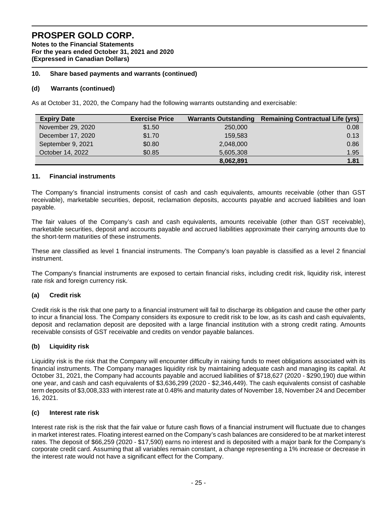**Notes to the Financial Statements For the years ended October 31, 2021 and 2020 (Expressed in Canadian Dollars)** 

### **10. Share based payments and warrants (continued)**

### **(d) Warrants (continued)**

As at October 31, 2020, the Company had the following warrants outstanding and exercisable:

| <b>Expiry Date</b> | <b>Exercise Price</b> | <b>Warrants Outstanding</b> | <b>Remaining Contractual Life (yrs)</b> |
|--------------------|-----------------------|-----------------------------|-----------------------------------------|
| November 29, 2020  | \$1.50                | 250,000                     | 0.08                                    |
| December 17, 2020  | \$1.70                | 159.583                     | 0.13                                    |
| September 9, 2021  | \$0.80                | 2,048,000                   | 0.86                                    |
| October 14, 2022   | \$0.85                | 5,605,308                   | 1.95                                    |
|                    |                       | 8,062,891                   | 1.81                                    |

### **11. Financial instruments**

The Company's financial instruments consist of cash and cash equivalents, amounts receivable (other than GST receivable), marketable securities, deposit, reclamation deposits, accounts payable and accrued liabilities and loan payable.

The fair values of the Company's cash and cash equivalents, amounts receivable (other than GST receivable), marketable securities, deposit and accounts payable and accrued liabilities approximate their carrying amounts due to the short-term maturities of these instruments.

These are classified as level 1 financial instruments. The Company's loan payable is classified as a level 2 financial instrument.

The Company's financial instruments are exposed to certain financial risks, including credit risk, liquidity risk, interest rate risk and foreign currency risk.

### **(a) Credit risk**

Credit risk is the risk that one party to a financial instrument will fail to discharge its obligation and cause the other party to incur a financial loss. The Company considers its exposure to credit risk to be low, as its cash and cash equivalents, deposit and reclamation deposit are deposited with a large financial institution with a strong credit rating. Amounts receivable consists of GST receivable and credits on vendor payable balances.

### **(b) Liquidity risk**

Liquidity risk is the risk that the Company will encounter difficulty in raising funds to meet obligations associated with its financial instruments. The Company manages liquidity risk by maintaining adequate cash and managing its capital. At October 31, 2021, the Company had accounts payable and accrued liabilities of \$718,627 (2020 - \$290,190) due within one year, and cash and cash equivalents of \$3,636,299 (2020 - \$2,346,449). The cash equivalents consist of cashable term deposits of \$3,008,333 with interest rate at 0.48% and maturity dates of November 18, November 24 and December 16, 2021.

### **(c) Interest rate risk**

Interest rate risk is the risk that the fair value or future cash flows of a financial instrument will fluctuate due to changes in market interest rates. Floating interest earned on the Company's cash balances are considered to be at market interest rates. The deposit of \$66,259 (2020 - \$17,590) earns no interest and is deposited with a major bank for the Company's corporate credit card. Assuming that all variables remain constant, a change representing a 1% increase or decrease in the interest rate would not have a significant effect for the Company.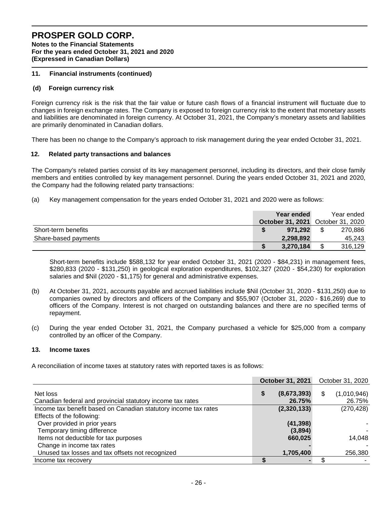**Notes to the Financial Statements For the years ended October 31, 2021 and 2020 (Expressed in Canadian Dollars)** 

#### **11. Financial instruments (continued)**

#### **(d) Foreign currency risk**

Foreign currency risk is the risk that the fair value or future cash flows of a financial instrument will fluctuate due to changes in foreign exchange rates. The Company is exposed to foreign currency risk to the extent that monetary assets and liabilities are denominated in foreign currency. At October 31, 2021, the Company's monetary assets and liabilities are primarily denominated in Canadian dollars.

There has been no change to the Company's approach to risk management during the year ended October 31, 2021.

#### **12. Related party transactions and balances**

The Company's related parties consist of its key management personnel, including its directors, and their close family members and entities controlled by key management personnel. During the years ended October 31, 2021 and 2020, the Company had the following related party transactions:

(a) Key management compensation for the years ended October 31, 2021 and 2020 were as follows:

|                      | Year ended                        | Year ended |
|----------------------|-----------------------------------|------------|
|                      | October 31, 2021 October 31, 2020 |            |
| Short-term benefits  | 971.292                           | 270,886    |
| Share-based payments | 2,298,892                         | 45,243     |
|                      | 3,270,184                         | 316,129    |

Short-term benefits include \$588,132 for year ended October 31, 2021 (2020 - \$84,231) in management fees, \$280,833 (2020 - \$131,250) in geological exploration expenditures, \$102,327 (2020 - \$54,230) for exploration salaries and \$Nil (2020 - \$1,175) for general and administrative expenses.

- (b) At October 31, 2021, accounts payable and accrued liabilities include \$Nil (October 31, 2020 \$131,250) due to companies owned by directors and officers of the Company and \$55,907 (October 31, 2020 - \$16,269) due to officers of the Company. Interest is not charged on outstanding balances and there are no specified terms of repayment.
- (c) During the year ended October 31, 2021, the Company purchased a vehicle for \$25,000 from a company controlled by an officer of the Company.

#### **13. Income taxes**

A reconciliation of income taxes at statutory rates with reported taxes is as follows:

|                                                                        | October 31, 2021 |                       | October 31, 2020 |                       |
|------------------------------------------------------------------------|------------------|-----------------------|------------------|-----------------------|
| Net loss<br>Canadian federal and provincial statutory income tax rates | S                | (8,673,393)<br>26.75% | S                | (1,010,946)<br>26.75% |
| Income tax benefit based on Canadian statutory income tax rates        |                  | (2,320,133)           |                  | (270, 428)            |
| Effects of the following:                                              |                  |                       |                  |                       |
| Over provided in prior years                                           |                  | (41, 398)             |                  |                       |
| Temporary timing difference                                            |                  | (3,894)               |                  |                       |
| Items not deductible for tax purposes                                  |                  | 660,025               |                  | 14.048                |
| Change in income tax rates                                             |                  |                       |                  |                       |
| Unused tax losses and tax offsets not recognized                       |                  | 1,705,400             |                  | 256,380               |
| Income tax recovery                                                    |                  |                       |                  |                       |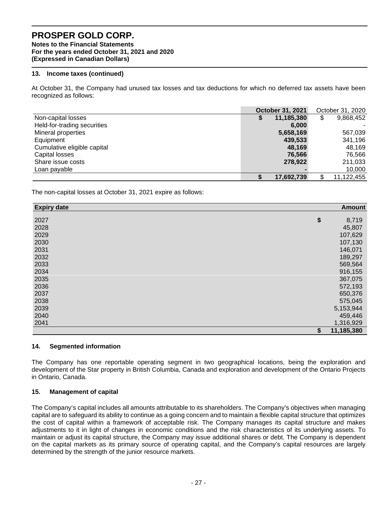**Notes to the Financial Statements For the years ended October 31, 2021 and 2020 (Expressed in Canadian Dollars)** 

### **13. Income taxes (continued)**

At October 31, the Company had unused tax losses and tax deductions for which no deferred tax assets have been recognized as follows:

|                             | <b>October 31, 2021</b> |            | October 31, 2020 |            |
|-----------------------------|-------------------------|------------|------------------|------------|
| Non-capital losses          |                         | 11,185,380 | \$               | 9,868,452  |
| Held-for-trading securities |                         | 6.000      |                  |            |
| Mineral properties          |                         | 5,658,169  |                  | 567,039    |
| Equipment                   |                         | 439,533    |                  | 341,196    |
| Cumulative eligible capital |                         | 48.169     |                  | 48.169     |
| Capital losses              |                         | 76,566     |                  | 76,566     |
| Share issue costs           |                         | 278.922    |                  | 211,033    |
| Loan payable                |                         |            |                  | 10,000     |
|                             |                         | 17,692,739 | S                | 11,122,455 |

The non-capital losses at October 31, 2021 expire as follows:

| <b>Expiry date</b> | <b>Amount</b>    |
|--------------------|------------------|
|                    |                  |
| 2027               | \$<br>8,719      |
| 2028               | 45,807           |
| 2029               | 107,629          |
| 2030               | 107,130          |
| 2031               | 146,071          |
| 2032               | 189,297          |
| 2033               | 569,564          |
| 2034               | 916,155          |
| 2035               | 367,075          |
| 2036               | 572,193          |
| 2037               | 650,376          |
| 2038               | 575,045          |
| 2039               | 5,153,944        |
| 2040               | 459,446          |
| 2041               | 1,316,929        |
|                    | \$<br>11,185,380 |

### **14. Segmented information**

The Company has one reportable operating segment in two geographical locations, being the exploration and development of the Star property in British Columbia, Canada and exploration and development of the Ontario Projects in Ontario, Canada.

### **15. Management of capital**

The Company's capital includes all amounts attributable to its shareholders. The Company's objectives when managing capital are to safeguard its ability to continue as a going concern and to maintain a flexible capital structure that optimizes the cost of capital within a framework of acceptable risk. The Company manages its capital structure and makes adjustments to it in light of changes in economic conditions and the risk characteristics of its underlying assets. To maintain or adjust its capital structure, the Company may issue additional shares or debt. The Company is dependent on the capital markets as its primary source of operating capital, and the Company's capital resources are largely determined by the strength of the junior resource markets.